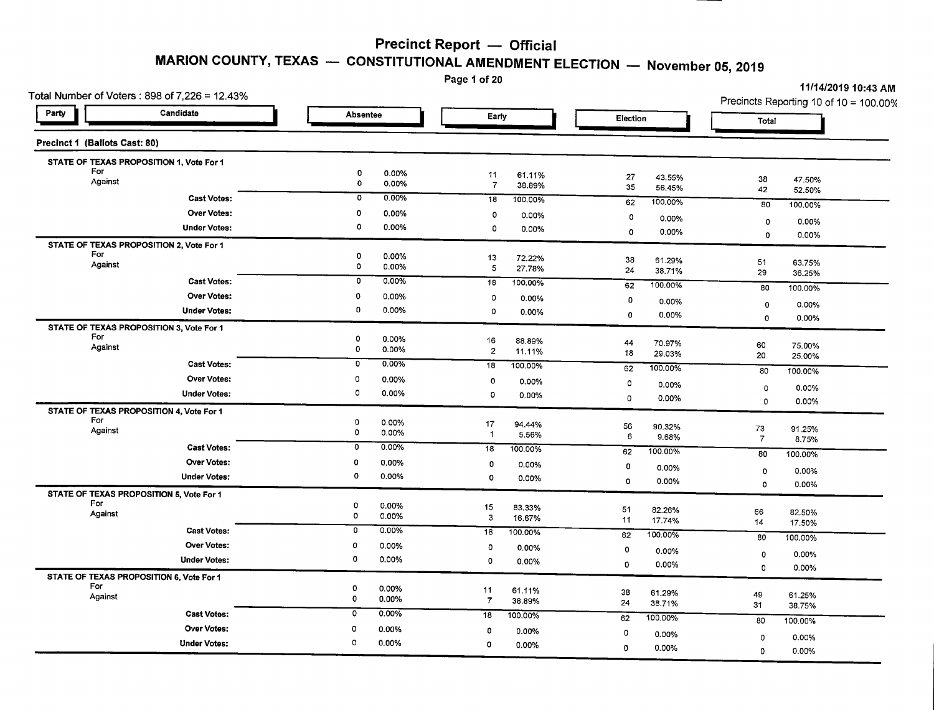# **MARION COUNTY, TEXAS - CONSTITUTIONAL AMENDMENT ELECTION - November 05,2019**

Page 1 of 20

| Total Number of Voters: 898 of 7,226 = 12.43%   |                     |                                                 |                      |                  |                              |                              | 11/14/2019 10:43 AM<br>Precincts Reporting 10 of 10 = 100.00% |
|-------------------------------------------------|---------------------|-------------------------------------------------|----------------------|------------------|------------------------------|------------------------------|---------------------------------------------------------------|
| Party                                           | Candidate           | <b>Absentee</b>                                 | Early                |                  | Election                     | Total                        |                                                               |
| Precinct 1 (Ballots Cast: 80)                   |                     |                                                 |                      |                  |                              |                              |                                                               |
| STATE OF TEXAS PROPOSITION 1, Vote For 1        |                     |                                                 |                      |                  |                              |                              |                                                               |
| For<br>Against                                  |                     | $\circ$<br>0.00%<br>$\pmb{\mathsf{0}}$<br>0.00% | 11<br>$\overline{7}$ | 61.11%<br>38.89% | 27<br>43.55%<br>35<br>56.45% | 38<br>42                     | 47.50%<br>52.50%                                              |
|                                                 | <b>Cast Votes:</b>  | 0.00%<br>$\mathbf 0$                            | 18                   | 100.00%          | 62<br>100.00%                | 80                           | 100.00%                                                       |
|                                                 | <b>Over Votes:</b>  | o<br>0.00%                                      | $\circ$              | 0.00%            | $\mathbf 0$<br>0.00%         |                              |                                                               |
|                                                 | <b>Under Votes:</b> | 0<br>0.00%                                      | 0                    | 0.00%            | 0.00%<br>$\mathbf 0$         | $\circ$<br>$\circ$           | 0.00%<br>0.00%                                                |
| STATE OF TEXAS PROPOSITION 2, Vote For 1        |                     |                                                 |                      |                  |                              |                              |                                                               |
| For<br>Against                                  |                     | 0<br>0.00%<br>$\circ$<br>0.00%                  | 13                   | 72.22%           | 38<br>61.29%                 | 51                           | 63.75%                                                        |
|                                                 |                     | 0<br>0.00%                                      | 5                    | 27.78%           | 24<br>38.71%                 | 29                           | 36.25%                                                        |
| <b>Cast Votes:</b>                              |                     | 18                                              | 100.00%              | 100.00%<br>62    | 80                           | 100.00%                      |                                                               |
|                                                 | <b>Over Votes:</b>  | 0<br>0.00%                                      | 0                    | 0.00%            | 0<br>0.00%                   | 0                            | 0.00%                                                         |
|                                                 | <b>Under Votes:</b> | 0<br>0.00%                                      | 0                    | 0.00%            | 0<br>0.00%                   | $\mathbf 0$                  | 0.00%                                                         |
| STATE OF TEXAS PROPOSITION 3, Vote For 1<br>For |                     | 0                                               |                      |                  |                              |                              |                                                               |
| Against                                         |                     | 0.00%<br>$\mathbf 0$<br>0.00%                   | 16<br>$\overline{2}$ | 88.89%<br>11.11% | 44<br>70.97%                 | 60                           | 75.00%                                                        |
|                                                 | <b>Cast Votes:</b>  | 0.00%<br>$\mathbf{0}$                           | 18                   | 100.00%          | 18<br>29.03%                 | 20                           | 25.00%                                                        |
|                                                 | <b>Over Votes:</b>  | 0<br>0.00%                                      | $\circ$              | 0.00%            | 62<br>100.00%                | 80                           | 100.00%                                                       |
|                                                 | <b>Under Votes:</b> | $\circ$<br>0.00%                                | O                    | 0.00%            | 0<br>0.00%                   | $\mathbf 0$                  | 0.00%                                                         |
| STATE OF TEXAS PROPOSITION 4, Vote For 1        |                     |                                                 |                      |                  | 0<br>0.00%                   | 0                            | 0.00%                                                         |
| For                                             |                     | $\circ$<br>0.00%                                | 17                   | 94.44%           |                              |                              |                                                               |
| Against                                         |                     | $\mathbf 0$<br>0.00%                            | $\overline{1}$       | 5.56%            | 56<br>90.32%<br>6<br>9.68%   | ${\bf 73}$<br>$\overline{7}$ | 91.25%<br>8.75%                                               |
|                                                 | <b>Cast Votes:</b>  | $\mathbf 0$<br>$0.00\%$                         | 18                   | 100.00%          | 62<br>100.00%                | 80                           | 100.00%                                                       |
|                                                 | <b>Over Votes:</b>  | 0<br>0.00%                                      | $\mathbf 0$          | 0.00%            | 0<br>0.00%                   |                              |                                                               |
|                                                 | <b>Under Votes:</b> | 0<br>0.00%                                      | $\circ$              | 0.00%            | $\mathbf 0$<br>0.00%         | $\circ$                      | 0.00%                                                         |
| STATE OF TEXAS PROPOSITION 5, Vote For 1        |                     |                                                 |                      |                  |                              | $\circ$                      | 0.00%                                                         |
| For                                             |                     | 0<br>0.00%                                      | 15                   | 83.33%           | 5 <sup>1</sup><br>82.26%     | 66                           | 82.50%                                                        |
| Against                                         |                     | O<br>0.00%                                      | $\mathbf{3}$         | 16.67%           | 11<br>17.74%                 | 14                           | 17.50%                                                        |
|                                                 | <b>Cast Votes:</b>  | 0<br>0.00%                                      | 18                   | 100.00%          | 62<br>100.00%                | 80                           | 100.00%                                                       |
|                                                 | <b>Over Votes:</b>  | 0.00%<br>0                                      | $\circ$              | 0.00%            | 0<br>0.00%                   |                              |                                                               |
|                                                 | <b>Under Votes:</b> | $\circ$<br>0.00%                                | 0                    | 0.00%            | 0<br>0.00%                   | $\mathbf 0$<br>$\Omega$      | 0.00%<br>0.00%                                                |
| STATE OF TEXAS PROPOSITION 6, Vote For 1        |                     |                                                 |                      |                  |                              |                              |                                                               |
| For<br>Against                                  |                     | ٥<br>0.00%<br>$\mathbf 0$                       | 11                   | 61.11%           | 38<br>61.29%                 | 49                           | 61.25%                                                        |
|                                                 |                     | 0.00%                                           | $\overline{7}$       | 38.89%           | 24<br>38.71%                 | 31                           | 38.75%                                                        |
|                                                 | <b>Cast Votes:</b>  | 0.00%<br>0                                      | 18                   | 100.00%          | 100.00%<br>62                | 80                           | 100.00%                                                       |
|                                                 | <b>Over Votes:</b>  | 0<br>0.00%                                      | 0                    | 0.00%            | 0<br>$0.00\%$                | 0                            | 0.00%                                                         |
|                                                 | <b>Under Votes:</b> | O<br>0.00%                                      | 0                    | 0.00%            | $\mathbf 0$<br>0.00%         | 0                            | 0.00%                                                         |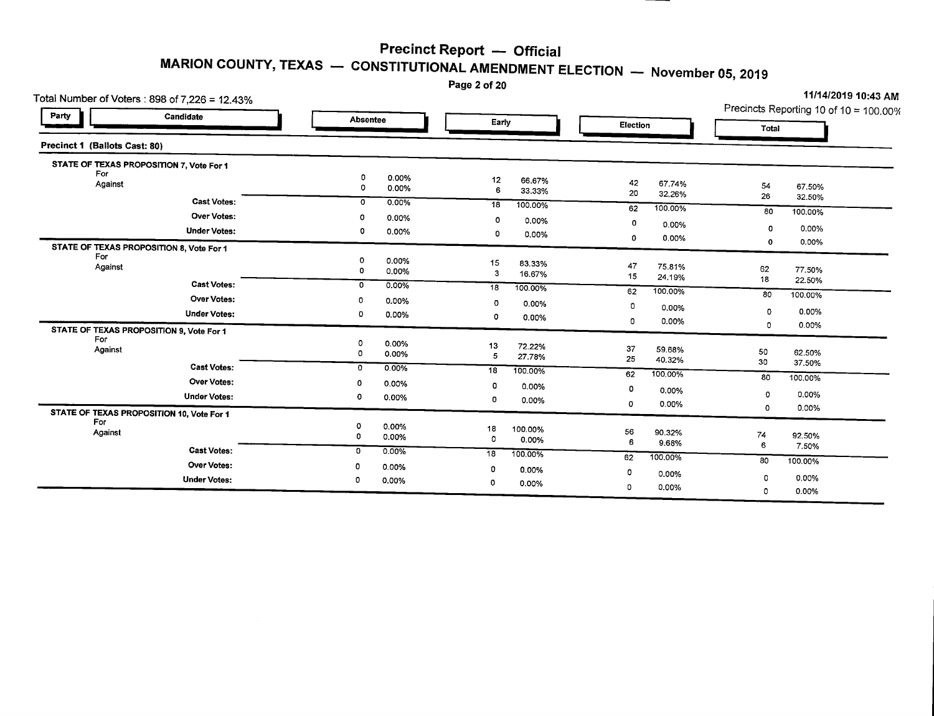Page 2 of 20

|                                    | Total Number of Voters : 898 of 7,226 = 12.43% |                                |                             |                                          |                                        |  |  |  |
|------------------------------------|------------------------------------------------|--------------------------------|-----------------------------|------------------------------------------|----------------------------------------|--|--|--|
| Party                              | Candidate                                      | <b>Absentee</b>                | Early                       | Election                                 | Precincts Reporting 10 of 10 = 100.00% |  |  |  |
| Precinct 1 (Ballots Cast: 80)      |                                                |                                |                             |                                          | Total                                  |  |  |  |
|                                    | STATE OF TEXAS PROPOSITION 7, Vote For 1       |                                |                             |                                          |                                        |  |  |  |
| For<br>Against                     |                                                | 0<br>0.00%<br>$\circ$<br>0.00% | 12<br>66.67%<br>6<br>33.33% | 42<br>67.74%<br>20<br>32.26%             | 54<br>67.50%<br>26                     |  |  |  |
|                                    | <b>Cast Votes:</b>                             | 0<br>0.00%                     | 18<br>100.00%               | 62<br>100.00%                            | 32.50%                                 |  |  |  |
|                                    | <b>Over Votes:</b>                             | o<br>0.00%                     | O<br>0.00%                  | 0                                        | 80<br>100.00%                          |  |  |  |
|                                    | <b>Under Votes:</b>                            | 0<br>0.00%                     | 0<br>0.00%                  | 0.00%<br>0                               | 0.00%<br>0                             |  |  |  |
|                                    | STATE OF TEXAS PROPOSITION 8, Vote For 1       |                                |                             | 0.00%                                    | 0.00%<br>$\mathbf 0$                   |  |  |  |
| For<br>Against                     |                                                | 0<br>0.00%<br>0<br>0.00%       | 15<br>83.33%<br>3<br>16.67% | 47<br>75.81%<br>15<br>24.19%             | 62<br>77.50%                           |  |  |  |
|                                    | <b>Cast Votes:</b>                             | 0.00%<br>0                     | 18<br>100.00%               | 100.00%<br>62                            | 18<br>22.50%                           |  |  |  |
|                                    | Over Votes:                                    | 0<br>0.00%                     | $\circ$<br>0.00%            |                                          | 80<br>100.00%                          |  |  |  |
|                                    | <b>Under Votes:</b>                            | ٥<br>0.00%                     | 0<br>0.00%                  | 0<br>0.00%                               | 0.00%<br>0                             |  |  |  |
|                                    | STATE OF TEXAS PROPOSITION 9, Vote For 1       |                                |                             | 0.00%<br>0                               | 0.00%<br>0                             |  |  |  |
| For<br>Against                     | <b>Cast Votes:</b>                             | 0<br>0.00%<br>$\circ$<br>0.00% | 13<br>72.22%<br>5<br>27.78% | 37<br>59.68%<br>25<br>40.32%             | 50<br>62.50%<br>30<br>37.50%           |  |  |  |
|                                    |                                                | $\mathbf{O}$<br>0.00%          | 18<br>100.00%               | 62<br>100.00%                            | 80<br>100.00%                          |  |  |  |
| Over Votes:<br><b>Under Votes:</b> |                                                | 0.00%<br>0<br>o<br>0.00%       | 0<br>0.00%<br>0<br>0.00%    | $\mathbf 0$<br>0.00%<br>$\circ$<br>0.00% | 0<br>0.00%<br>$\circ$                  |  |  |  |
| For                                | STATE OF TEXAS PROPOSITION 10, Vote For 1      |                                |                             |                                          | 0.00%                                  |  |  |  |
| Against                            |                                                | Ω<br>0.00%<br>0<br>0.00%       | 18<br>100.00%<br>0<br>0.00% | 56<br>90.32%<br>6<br>9.68%               | 74<br>92.50%<br>6<br>7.50%             |  |  |  |
|                                    | <b>Cast Votes:</b>                             | $0.00\%$<br>0                  | 18<br>100.00%               | 62<br>100.00%                            | 80                                     |  |  |  |
|                                    | <b>Over Votes:</b><br><b>Under Votes:</b>      | 0<br>0.00%<br>0<br>0.00%       | 0<br>0.00%                  | 0<br>0.00%                               | 100.00%<br>0.00%<br>$\Omega$           |  |  |  |
|                                    |                                                |                                | 0<br>0.00%                  | 0.00%<br>0                               | 0.00%<br>0                             |  |  |  |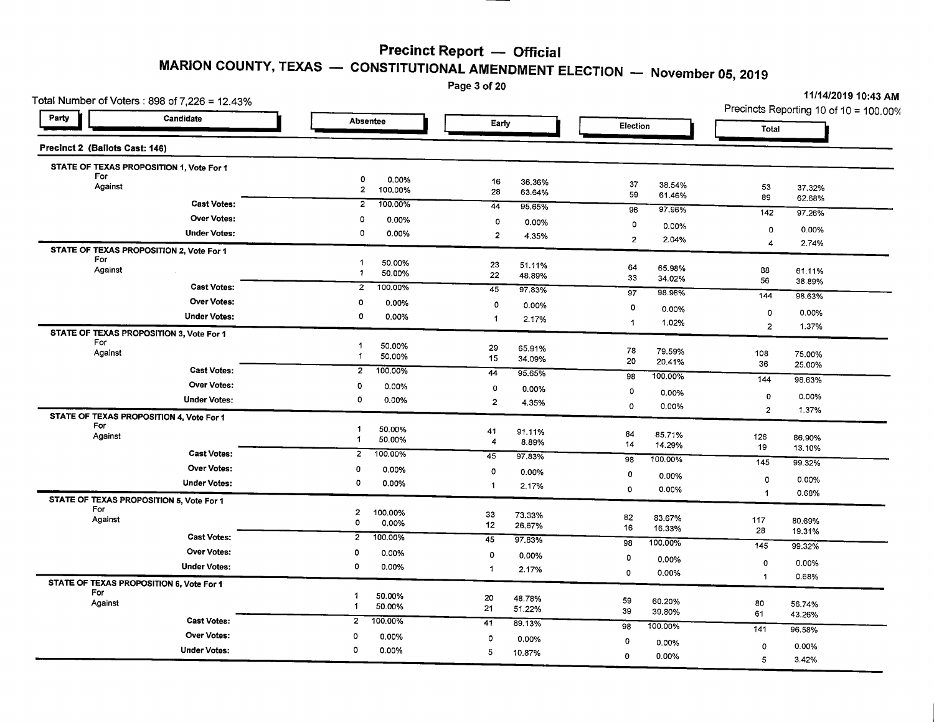Page 3 of 20

| Total Number of Voters : 898 of 7,226 = 12.43%  |                              |                                |                  |                |                  |                |                  |                | <b>UNIT CHOID IV.40 AIVE</b><br>Precincts Reporting 10 of 10 = 100.00% |
|-------------------------------------------------|------------------------------|--------------------------------|------------------|----------------|------------------|----------------|------------------|----------------|------------------------------------------------------------------------|
| Party                                           | Candidate<br><b>Absentee</b> |                                |                  | Early          |                  | Election       |                  | Total          |                                                                        |
| Precinct 2 (Ballots Cast: 146)                  |                              |                                |                  |                |                  |                |                  |                |                                                                        |
| STATE OF TEXAS PROPOSITION 1, Vote For 1<br>For |                              |                                |                  |                |                  |                |                  |                |                                                                        |
| Against                                         |                              | 0<br>$\mathbf{2}$              | 0.00%<br>100.00% | 16<br>28       | 36.36%<br>63.64% | 37<br>59       | 38.54%<br>61.46% | 53<br>89       | 37.32%<br>62.68%                                                       |
|                                                 | <b>Cast Votes:</b>           | $\overline{a}$                 | 100.00%          | 44             | 95.65%           | 96             | 97.96%           | 142            | 97.26%                                                                 |
|                                                 | <b>Over Votes:</b>           | $\circ$                        | 0.00%            | O              | 0.00%            | $\circ$        | 0.00%            | $\circ$        | 0.00%                                                                  |
|                                                 | <b>Under Votes:</b>          | 0                              | 0.00%            | $\overline{2}$ | 4.35%            | $\overline{2}$ | 2.04%            | 4              | 2.74%                                                                  |
| STATE OF TEXAS PROPOSITION 2, Vote For 1<br>For |                              |                                |                  |                |                  |                |                  |                |                                                                        |
| Against                                         |                              | -1<br>1                        | 50.00%<br>50.00% | 23             | 51.11%           | 64             | 65.98%           | 88             | 61.11%                                                                 |
|                                                 | <b>Cast Votes:</b>           | $\overline{2}$                 | 100.00%          | 22             | 48.89%           | 33             | 34.02%           | 56             | 38.89%                                                                 |
|                                                 | <b>Over Votes:</b>           | $\circ$                        |                  | 45             | 97.83%           | 97             | 98.98%           | 144            | 98.63%                                                                 |
|                                                 | <b>Under Votes:</b>          | 0                              | 0.00%            | 0              | 0.00%            | 0              | 0.00%            | 0              | 0.00%                                                                  |
|                                                 |                              |                                | 0.00%            | 1              | 2.17%            | $\mathbf{1}$   | 1.02%            | $\overline{2}$ | 1.37%                                                                  |
| STATE OF TEXAS PROPOSITION 3, Vote For 1<br>For |                              |                                |                  |                |                  |                |                  |                |                                                                        |
| Against                                         |                              | $\overline{1}$<br>$\mathbf{1}$ | 50.00%<br>50.00% | 29<br>15       | 65.91%<br>34.09% | 78             | 79.59%           | 108            | 75.00%                                                                 |
|                                                 | <b>Cast Votes:</b>           | $\overline{2}$                 | 100.00%          | 44             |                  | 20             | 20.41%           | 36             | 25.00%                                                                 |
|                                                 | Over Votes:                  | 0                              | 0.00%            |                | 95.65%           | 98             | 100.00%          | 144            | 98.63%                                                                 |
|                                                 | <b>Under Votes:</b>          | $\circ$                        | 0.00%            | $\overline{0}$ | 0.00%            | 0              | 0.00%            | 0              | 0.00%                                                                  |
|                                                 |                              |                                |                  | $\overline{z}$ | 4.35%            | $\circ$        | 0.00%            | $\overline{c}$ | 1.37%                                                                  |
| STATE OF TEXAS PROPOSITION 4, Vote For 1<br>For |                              | $\mathbf{1}$                   | 50.00%           |                |                  |                |                  |                |                                                                        |
| Against                                         |                              | $\mathbf 1$                    | 50.00%           | 41<br>4        | 91.11%<br>8.89%  | 84             | 85.71%           | 126            | 86.90%                                                                 |
|                                                 | <b>Cast Votes:</b>           | $\overline{c}$                 | 100.00%          | 45             | 97.83%           | 14             | 14.29%           | 19             | 13.10%                                                                 |
|                                                 | Over Votes:                  | 0                              | 0.00%            | $\circ$        |                  | 98             | 100.00%          | 145            | 99.32%                                                                 |
|                                                 | <b>Under Votes:</b>          | 0                              | 0.00%            | $\mathbf{1}$   | 0.00%<br>2.17%   | 0              | 0.00%            | 0              | 0.00%                                                                  |
| STATE OF TEXAS PROPOSITION 5, Vote For 1        |                              |                                |                  |                |                  | 0              | 0.00%            | $\mathbf{1}$   | 0.68%                                                                  |
| For                                             |                              | $\mathbf{z}$                   | 100.00%          | 33             | 73.33%           |                |                  |                |                                                                        |
| Against                                         |                              | $\circ$                        | 0.00%            | 12             | 26.67%           | 82<br>16       | 83.67%<br>16.33% | 117            | 80.69%                                                                 |
|                                                 | <b>Cast Votes:</b>           | $\overline{2}$                 | 100.00%          | 45             | 97.83%           | 98             | 100.00%          | 28             | 19.31%                                                                 |
|                                                 | Over Votes:                  | 0                              | 0.00%            | $\mathbf 0$    | 0.00%            | $\mathbf 0$    |                  | 145            | 99.32%                                                                 |
| <b>Under Votes:</b>                             |                              | 0                              | 0.00%            | $\overline{1}$ | 2.17%            | $\mathbf{0}$   | 0.00%            | $\circ$        | 0.00%                                                                  |
| STATE OF TEXAS PROPOSITION 6, Vote For 1        |                              |                                |                  |                |                  |                | 0.00%            | $\mathbf{1}$   | 0.68%                                                                  |
| For                                             |                              | 1                              | 50.00%           | 20             | 48.78%           | 59             |                  |                |                                                                        |
| Against                                         |                              | 1                              | 50.00%           | 21             | 51.22%           | 39             | 60.20%<br>39.80% | 80<br>61       | 56.74%<br>43.26%                                                       |
|                                                 | <b>Cast Votes:</b>           | $\overline{2}$                 | 100.00%          | 41             | 89.13%           | 98             | 100.00%          | 141            |                                                                        |
|                                                 | <b>Over Votes:</b>           | o                              | 0.00%            | 0              | 0.00%            | 0              | 0.00%            |                | 96.58%                                                                 |
|                                                 | <b>Under Votes:</b>          | 0                              | 0.00%            | 5              | 10.87%           |                |                  | 0              | 0.00%                                                                  |
|                                                 |                              |                                |                  |                |                  | 0              | 0.00%            | 5              | 3.42%                                                                  |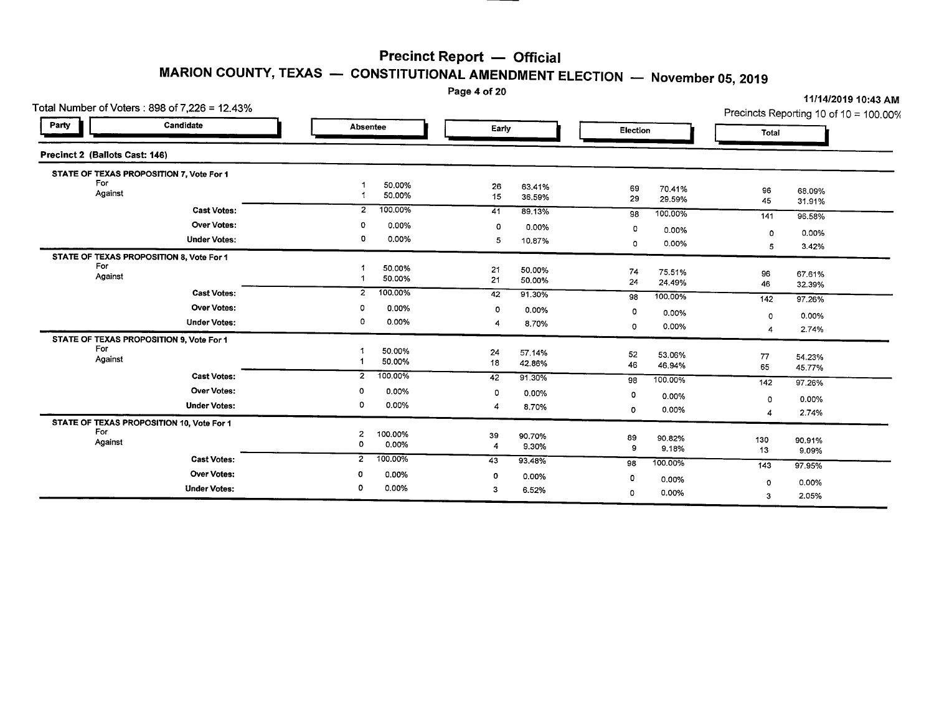Page 4 of 20

| Total Number of Voters : 898 of 7,226 = 12.43%   |                           |              |                  | Precincts Reporting 10 of 10 = 100.00% |
|--------------------------------------------------|---------------------------|--------------|------------------|----------------------------------------|
| Candidate<br>Party                               | Absentee                  | Early        | <b>Election</b>  | Total                                  |
| Precinct 2 (Ballots Cast: 146)                   |                           |              |                  |                                        |
| STATE OF TEXAS PROPOSITION 7, Vote For 1         |                           |              |                  |                                        |
| For                                              | 50.00%                    | 26<br>63.41% | 69<br>70.41%     |                                        |
| Against                                          | 50.00%                    | 15<br>36.59% | 29<br>29.59%     | 96<br>68.09%<br>45<br>31.91%           |
| <b>Cast Votes:</b>                               | 100.00%<br>$\mathbf{2}$   | 41<br>89.13% | 100.00%<br>98    |                                        |
| <b>Over Votes:</b>                               | $0.00\%$<br>0             | 0<br>0.00%   |                  | 141<br>96.58%                          |
| <b>Under Votes:</b>                              | 0.00%<br>0                |              | 0<br>0.00%       | 0.00%<br>$\circ$                       |
|                                                  |                           | 5<br>10.87%  | 0.00%<br>0       | 3.42%<br>5                             |
| STATE OF TEXAS PROPOSITION 8, Vote For 1         |                           |              |                  |                                        |
| For                                              | 50.00%                    | 21<br>50.00% | 74<br>75.51%     | 96<br>67.61%                           |
| Against                                          | 50.00%                    | 21<br>50.00% | 24<br>24.49%     | 46<br>32.39%                           |
| <b>Cast Votes:</b>                               | 100.00%<br>$\overline{z}$ | 42<br>91.30% | 100.00%<br>98    | 142<br>97.26%                          |
| <b>Over Votes:</b>                               | 0.00%<br>0                | 0<br>0.00%   | 0<br>0.00%       |                                        |
| <b>Under Votes:</b>                              | 0<br>0.00%                | 8.70%        |                  | 0.00%<br>0                             |
|                                                  |                           |              | 0.00%<br>$\circ$ | 2.74%<br>4                             |
| STATE OF TEXAS PROPOSITION 9, Vote For 1<br>For  |                           |              |                  |                                        |
| Against                                          | 50.00%                    | 24<br>57.14% | 52<br>53.06%     | 77<br>54.23%                           |
|                                                  | 50.00%                    | 18<br>42.86% | 46<br>46.94%     | 65<br>45.77%                           |
| <b>Cast Votes:</b>                               | 100.00%<br>$\overline{z}$ | 91.30%<br>42 | 100.00%<br>98    | 142<br>97.26%                          |
| Over Votes:                                      | 0.00%<br>0                | 0<br>0.00%   | 0<br>0.00%       |                                        |
| <b>Under Votes:</b>                              | 0<br>0.00%                | 8.70%<br>4   |                  | 0.00%<br>$\Omega$                      |
|                                                  |                           |              | 0.00%<br>0       | 2.74%<br>4                             |
| STATE OF TEXAS PROPOSITION 10, Vote For 1<br>For |                           |              |                  |                                        |
| Against                                          | 100.00%<br>2              | 39<br>90.70% | 89<br>90.82%     | 130<br>90.91%                          |
|                                                  | $\circ$<br>0.00%          | 9.30%<br>4   | 9<br>9.18%       | 13<br>9.09%                            |
| <b>Cast Votes:</b>                               | 100.00%<br>$\overline{2}$ | 43<br>93.48% | 100.00%<br>98    | 143<br>97.95%                          |
| Over Votes:                                      | 0.00%                     | 0<br>0.00%   | 0<br>0.00%       |                                        |
| <b>Under Votes:</b>                              | 0.00%<br>0                | 3<br>6.52%   |                  | 0.00%<br>$\Omega$                      |
|                                                  |                           |              | 0.00%<br>0       | 2.05%<br>з                             |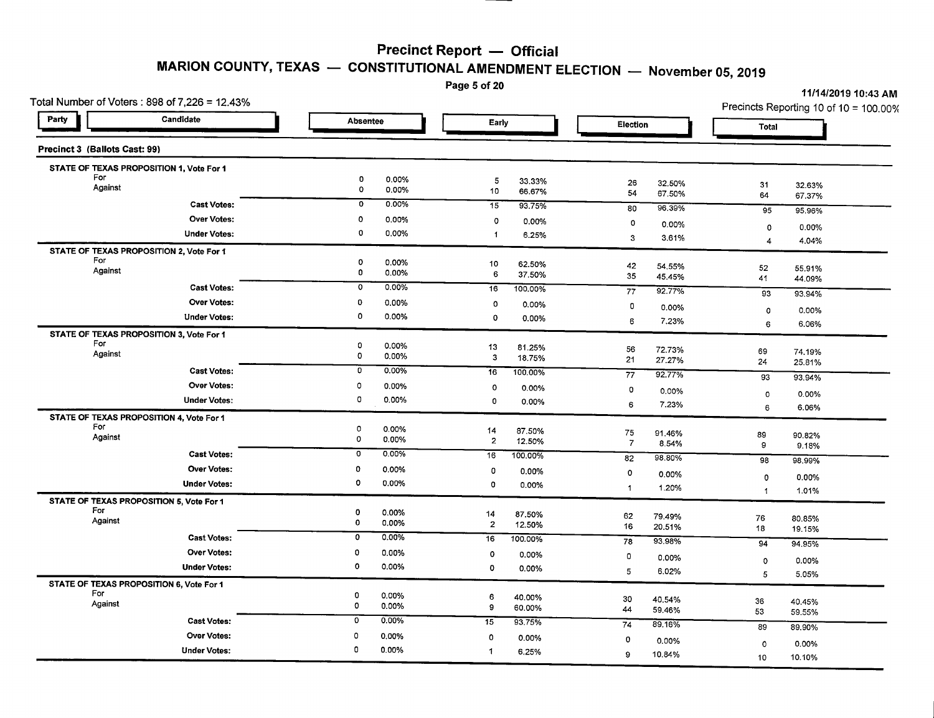Page 5 of 20

| Total Number of Voters: $898$ of $7,226 = 12.43\%$ |                                              |                                   |                                         | Precincts Reporting 10 of 10 = 100.00% |
|----------------------------------------------------|----------------------------------------------|-----------------------------------|-----------------------------------------|----------------------------------------|
| Party<br>Candidate                                 | <b>Absentee</b>                              | Early                             | <b>Election</b>                         | Total                                  |
| Precinct 3 (Ballots Cast: 99)                      |                                              |                                   |                                         |                                        |
| STATE OF TEXAS PROPOSITION 1, Vote For 1           |                                              |                                   |                                         |                                        |
| For<br>Against                                     | 0<br>0.00%<br>$\mathbf 0$<br>0.00%           | 5<br>33.33%<br>10<br>66.67%       | 26<br>32.50%<br>54<br>67.50%            | 31<br>32.63%<br>64<br>67.37%           |
| <b>Cast Votes:</b>                                 | 0<br>0.00%                                   | 15<br>93.75%                      | 80<br>96.39%                            | 95<br>95.96%                           |
| <b>Over Votes:</b>                                 | $\circ$<br>0.00%                             | $\circ$<br>0.00%                  | 0<br>0.00%                              | 0.00%<br>0                             |
| <b>Under Votes:</b>                                | 0<br>0.00%                                   | $\mathbf{1}$<br>6.25%             | 3<br>3.61%                              | 4<br>4.04%                             |
| STATE OF TEXAS PROPOSITION 2, Vote For 1           |                                              |                                   |                                         |                                        |
| For<br>Against                                     | $\mathbf 0$<br>0.00%<br>$\mathbf 0$<br>0.00% | 10<br>62.50%                      | 42<br>54.55%                            | 52<br>55.91%                           |
| <b>Cast Votes:</b>                                 | $\overline{\mathfrak{o}}$<br>0.00%           | 6<br>37.50%                       | 35<br>45.45%                            | 41<br>44.09%                           |
| <b>Over Votes:</b>                                 |                                              | 16<br>100.00%                     | 77<br>92.77%                            | 93<br>93.94%                           |
|                                                    | 0<br>0.00%<br>$\circ$                        | o<br>0.00%                        | $\mathbf 0$<br>0.00%                    | 0.00%<br>0                             |
| <b>Under Votes:</b>                                | 0.00%                                        | 0<br>0.00%                        | 6<br>7.23%                              | 6.06%<br>6                             |
| STATE OF TEXAS PROPOSITION 3, Vote For 1<br>For    | 0                                            |                                   |                                         |                                        |
| Against                                            | 0.00%<br>$\mathbf 0$<br>0.00%                | 13<br>81.25%<br>3<br>18.75%       | 56<br>72.73%<br>21                      | 69<br>74.19%                           |
| <b>Cast Votes:</b>                                 | 0.00%<br>0                                   | 16<br>100.00%                     | 27.27%                                  | 24<br>25.81%                           |
| <b>Over Votes:</b>                                 | 0<br>0.00%                                   | $\circ$<br>0.00%                  | 77<br>92.77%                            | 93<br>93.94%                           |
| <b>Under Votes:</b>                                | $\circ$<br>0.00%                             | 0<br>0.00%                        | $\circ$<br>0.00%                        | 0.00%<br>$\circ$                       |
| STATE OF TEXAS PROPOSITION 4, Vote For 1           |                                              |                                   | 6<br>7.23%                              | 6.06%<br>6                             |
| For                                                | $\mathbf 0$<br>0.00%                         | 14<br>87.50%                      |                                         |                                        |
| Against                                            | o<br>0.00%                                   | $\overline{\mathbf{z}}$<br>12.50% | 75<br>91.46%<br>$\overline{7}$<br>8.54% | 89<br>90.82%<br>9<br>9.18%             |
| <b>Cast Votes:</b>                                 | 0.00%<br>o                                   | 100.00%<br>16                     | 98.80%<br>82                            | 98<br>98.99%                           |
| <b>Over Votes:</b>                                 | 0<br>0.00%                                   | 0<br>0.00%                        | $\circ$<br>0.00%                        |                                        |
| <b>Under Votes:</b>                                | 0<br>0.00%                                   | 0<br>0.00%                        | 1.20%<br>$\mathbf 1$                    | 0.00%<br>0                             |
| STATE OF TEXAS PROPOSITION 5, Vote For 1           |                                              |                                   |                                         | 1.01%<br>$\mathbf{1}$                  |
| For                                                | $\mathbf 0$<br>0.00%                         | 14<br>87.50%                      | 62<br>79.49%                            | 76<br>80.85%                           |
| Against                                            | $\mathbf 0$<br>0.00%                         | $\overline{2}$<br>12.50%          | 16<br>20.51%                            | 18<br>19.15%                           |
| <b>Cast Votes:</b>                                 | $\mathbf 0$<br>0.00%                         | 16<br>100.00%                     | 93.98%<br>78                            | 94<br>94.95%                           |
| <b>Over Votes:</b>                                 | 0<br>0.00%                                   | 0<br>0.00%                        | O<br>0.00%                              | 0.00%<br>0                             |
| <b>Under Votes:</b>                                | $\mathbf 0$<br>0.00%                         | 0<br>0.00%                        | 5<br>6.02%                              | 5<br>5.05%                             |
| STATE OF TEXAS PROPOSITION 6, Vote For 1           |                                              |                                   |                                         |                                        |
| For<br>Against                                     | $\mathbf 0$<br>0.00%<br>$\circ$              | 6<br>40.00%                       | 30<br>40.54%                            | 36<br>40.45%                           |
|                                                    | 0.00%                                        | 9<br>60.00%                       | 44<br>59.46%                            | 53<br>59.55%                           |
| <b>Cast Votes:</b>                                 | 0.00%<br>0                                   | 15<br>93.75%                      | 74<br>89.16%                            | 89<br>89.90%                           |
| <b>Over Votes:</b>                                 | 0<br>0.00%                                   | $\circ$<br>0.00%                  | 0<br>0.00%                              | $\circ$<br>0.00%                       |
| <b>Under Votes:</b>                                | 0.00%<br>0                                   | $\blacktriangleleft$<br>6.25%     | 9<br>10.84%                             | 10<br>10.10%                           |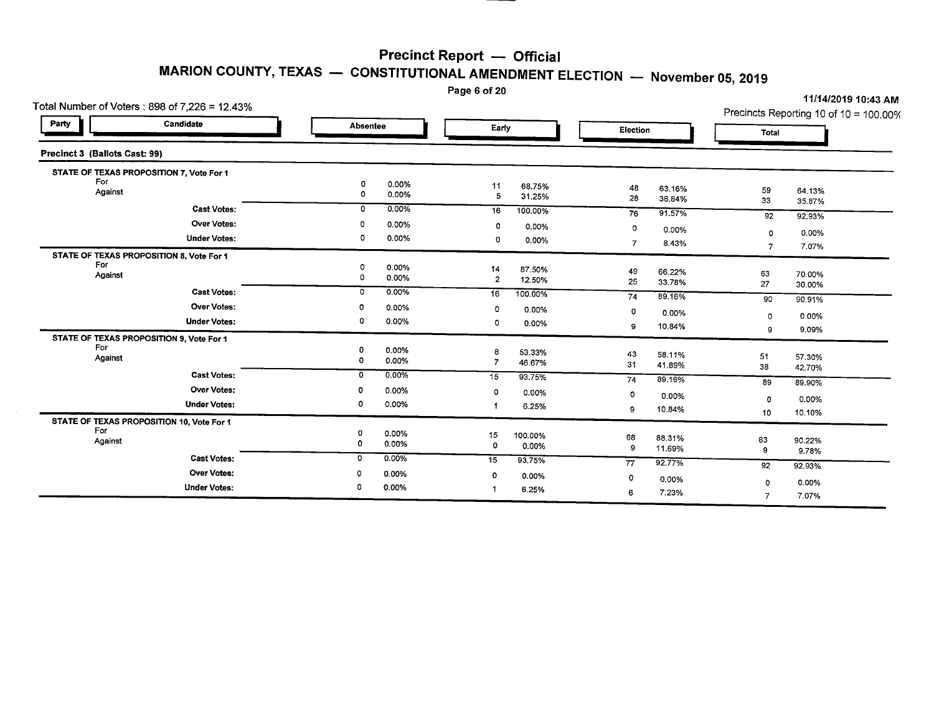Page 6 of 20

|                               | Total Number of Voters : 898 of 7,226 = 12.43% |              |          | i aye v vi ∠v  |         |          |        |                | 11/14/2019 10:43 AM                    |
|-------------------------------|------------------------------------------------|--------------|----------|----------------|---------|----------|--------|----------------|----------------------------------------|
| Party                         | Candidate                                      | Absentee     |          | Early          |         | Election |        | Total          | Precincts Reporting 10 of 10 = 100.00% |
| Precinct 3 (Ballots Cast: 99) |                                                |              |          |                |         |          |        |                |                                        |
|                               | STATE OF TEXAS PROPOSITION 7, Vote For 1       |              |          |                |         |          |        |                |                                        |
| For                           |                                                | o            | 0.00%    | 11             | 68.75%  | 48       | 63.16% |                |                                        |
| Against                       |                                                | 0            | 0.00%    | 5              | 31.25%  | 28       | 36.84% | 59<br>33       | 64.13%                                 |
|                               | <b>Cast Votes:</b>                             | 0            | $0.00\%$ | 16             | 100.00% |          | 91.57% |                | 35.87%                                 |
|                               | Over Votes:                                    | 0            | 0.00%    |                |         | 76       |        | 92             | 92.93%                                 |
|                               |                                                | $\circ$      |          | 0              | 0.00%   | 0        | 0.00%  | 0              | 0.00%                                  |
|                               | <b>Under Votes:</b>                            |              | 0.00%    | $\circ$        | 0.00%   | 7        | 8.43%  | 7              | 7.07%                                  |
|                               | STATE OF TEXAS PROPOSITION 8, Vote For 1       |              |          |                |         |          |        |                |                                        |
| For                           |                                                | 0            | 0.00%    | 14             | 87.50%  | 49       | 66.22% | 63             | 70.00%                                 |
| Against                       |                                                | $\mathbf 0$  | 0.00%    | $\overline{2}$ | 12.50%  | 25       | 33.78% | 27             | 30.00%                                 |
|                               | <b>Cast Votes:</b>                             | 0            | 0.00%    | 16             | 100.00% | 74       | 89.16% |                |                                        |
|                               | <b>Over Votes:</b>                             | Ω            | $0.00\%$ | $\circ$        | 0.00%   |          |        | 90             | 90.91%                                 |
|                               | <b>Under Votes:</b>                            | 0            | 0.00%    | 0              |         | 0        | 0.00%  | $\mathbf 0$    | 0.00%                                  |
|                               |                                                |              |          |                | 0.00%   | 9        | 10.84% | 9              | 9.09%                                  |
| For                           | STATE OF TEXAS PROPOSITION 9, Vote For 1       |              |          |                |         |          |        |                |                                        |
| Against                       |                                                | 0            | 0.00%    | 8              | 53.33%  | 43       | 58.11% | 51             | 57.30%                                 |
|                               |                                                | 0            | 0.00%    | 7              | 46.67%  | 31       | 41.89% | 38             | 42.70%                                 |
|                               | <b>Cast Votes:</b>                             | 0            | $0.00\%$ | 15             | 93.75%  | 74       | 89.16% | 89             | 89.90%                                 |
|                               | <b>Over Votes:</b>                             | 0            | 0.00%    | $\circ$        | 0.00%   | 0        | 0.00%  |                |                                        |
|                               | <b>Under Votes:</b>                            | 0            | 0.00%    |                | 6.25%   |          |        | $\mathbf 0$    | 0.00%                                  |
|                               |                                                |              |          |                |         | 9        | 10.84% | 10             | 10.10%                                 |
| For                           | STATE OF TEXAS PROPOSITION 10, Vote For 1      |              |          |                |         |          |        |                |                                        |
| Against                       |                                                | 0<br>0       | 0.00%    | 15             | 100.00% | 68       | 88.31% | 83             | 90.22%                                 |
|                               |                                                |              | 0.00%    | 0              | 0.00%   | 9        | 11.69% | 9              | 9.78%                                  |
|                               | <b>Cast Votes:</b>                             | $\mathbf{o}$ | 0.00%    | 15             | 93.75%  | 77       | 92.77% | 92             | 92.93%                                 |
|                               | <b>Over Votes:</b>                             | 0            | 0.00%    | 0              | 0.00%   | 0        | 0.00%  |                |                                        |
|                               | <b>Under Votes:</b>                            | 0            | 0.00%    | 1              | 6.25%   |          |        | 0              | 0.00%                                  |
|                               |                                                |              |          |                |         | 6        | 7.23%  | $\overline{7}$ | 7.07%                                  |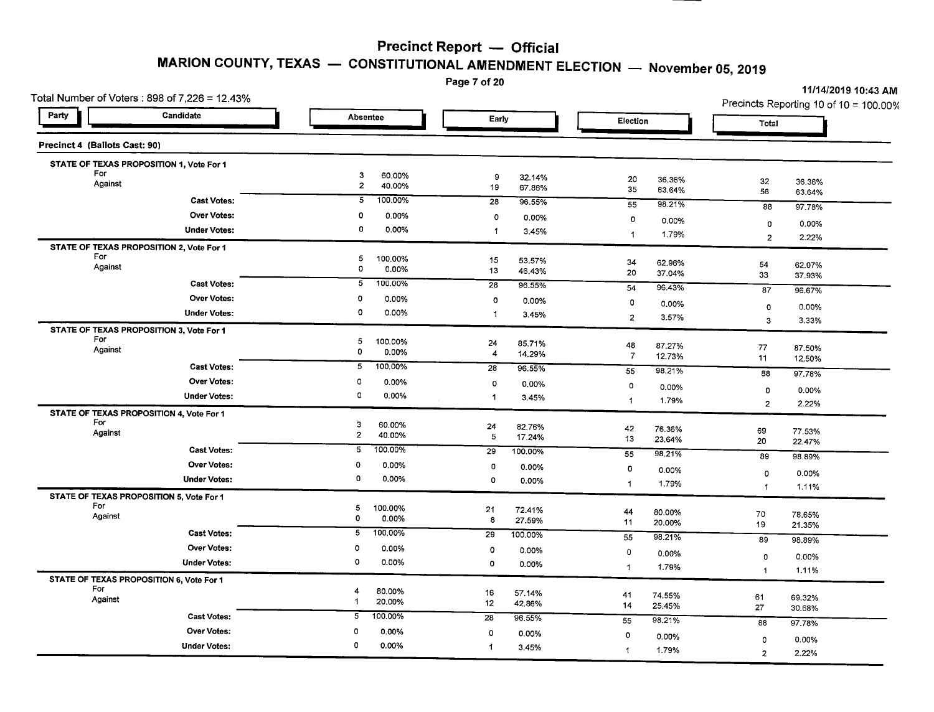# **MARION COUNTY, TEXAS - CONSTITUTIONAL AMENDMENT ELECTION - November 05,2019**

Page 7 of 20

|                               | Total Number of Voters: 898 of 7,226 = 12.43% |                     |                   | .               |                  |                |        |                | 11/14/2019 10:43 AM<br>Precincts Reporting 10 of 10 = 100.00% |
|-------------------------------|-----------------------------------------------|---------------------|-------------------|-----------------|------------------|----------------|--------|----------------|---------------------------------------------------------------|
| Party                         | Candidate                                     | Absentee            |                   | Early           |                  | Election       |        | Total          |                                                               |
| Precinct 4 (Ballots Cast: 90) |                                               |                     |                   |                 |                  |                |        |                |                                                               |
|                               | STATE OF TEXAS PROPOSITION 1, Vote For 1      |                     |                   |                 |                  |                |        |                |                                                               |
| For<br>Against                |                                               | 3<br>$\overline{2}$ | 60.00%            | 9               | 32.14%           | 20             | 36.36% | 32             | 36.36%                                                        |
|                               |                                               | 5                   | 40.00%<br>100.00% | 19              | 67.86%           | 35             | 63.64% | 56             | 63.64%                                                        |
|                               | <b>Cast Votes:</b>                            |                     |                   | $\overline{28}$ | 96.55%           | 55             | 98.21% | 88             | 97.78%                                                        |
|                               | <b>Over Votes:</b>                            | 0                   | 0.00%             | 0               | 0.00%            | $\circ$        | 0.00%  | 0              | 0.00%                                                         |
|                               | <b>Under Votes:</b>                           | 0                   | 0.00%             | 1               | 3.45%            | $\mathbf{1}$   | 1.79%  | $\overline{c}$ | 2.22%                                                         |
| For                           | STATE OF TEXAS PROPOSITION 2, Vote For 1      |                     |                   |                 |                  |                |        |                |                                                               |
| Against                       |                                               | 5<br>$\circ$        | 100.00%<br>0.00%  | 15<br>13        | 53.57%<br>46.43% | 34             | 62.96% | 54             | 62.07%                                                        |
|                               | <b>Cast Votes:</b>                            | 5                   | 100.00%           | 28              |                  | 20             | 37.04% | 33             | 37.93%                                                        |
|                               | <b>Over Votes:</b>                            | 0                   | 0.00%             |                 | 96.55%           | 54             | 96.43% | 87             | 96.67%                                                        |
|                               | <b>Under Votes:</b>                           | 0                   | 0.00%             | 0               | 0.00%            | $\circ$        | 0.00%  | 0              | 0.00%                                                         |
|                               |                                               |                     |                   | -1              | 3.45%            | $\mathbf 2$    | 3.57%  | 3              | 3.33%                                                         |
| For                           | STATE OF TEXAS PROPOSITION 3, Vote For 1      |                     |                   |                 |                  |                |        |                |                                                               |
| Against                       |                                               | 5<br>0              | 100.00%<br>0.00%  | 24<br>4         | 85.71%<br>14.29% | 48             | 87.27% | 77             | 87.50%                                                        |
|                               | <b>Cast Votes:</b>                            | 5                   | 100.00%           | 28              | 96.55%           | $\overline{7}$ | 12.73% | 11             | 12.50%                                                        |
|                               | <b>Over Votes:</b>                            | $\circ$             | 0.00%             |                 |                  | 55             | 98.21% | 88             | 97.78%                                                        |
|                               | <b>Under Votes:</b>                           | $\mathbf 0$         | 0.00%             | o               | 0.00%            | 0              | 0.00%  | 0              | 0.00%                                                         |
|                               |                                               |                     |                   | $\mathbf{1}$    | 3.45%            | 1              | 1.79%  | $\overline{2}$ | 2.22%                                                         |
| For                           | STATE OF TEXAS PROPOSITION 4, Vote For 1      |                     |                   |                 |                  |                |        |                |                                                               |
| Against                       |                                               | 3<br>$\overline{2}$ | 60.00%<br>40.00%  | 24<br>5         | 82.76%<br>17.24% | 42             | 76.36% | 69             | 77.53%                                                        |
|                               | <b>Cast Votes:</b>                            | 5                   | 100.00%           | 29              | 100.00%          | 13             | 23.64% | 20             | 22.47%                                                        |
|                               | Over Votes:                                   | 0                   | 0.00%             |                 |                  | 55             | 98.21% | 89             | 98.89%                                                        |
|                               |                                               | 0                   | 0.00%             | $\overline{0}$  | 0.00%            | 0              | 0.00%  | $\mathbf 0$    | 0.00%                                                         |
|                               | <b>Under Votes:</b>                           |                     |                   | $\circ$         | 0.00%            | $\mathbf{1}$   | 1.79%  | $\mathbf{1}$   | 1.11%                                                         |
| For                           | STATE OF TEXAS PROPOSITION 5, Vote For 1      |                     |                   |                 |                  |                |        |                |                                                               |
| Against                       |                                               | 5<br>$\mathbf 0$    | 100.00%<br>0.00%  | 21<br>8         | 72.41%<br>27.59% | 44             | 80.00% | 70             | 78.65%                                                        |
|                               | <b>Cast Votes:</b>                            | 5                   | 100.00%           | 29              | 100.00%          | 11             | 20.00% | 19             | 21.35%                                                        |
|                               | <b>Over Votes:</b>                            | 0                   | 0.00%             |                 |                  | 55             | 98.21% | 89             | 98.89%                                                        |
|                               | <b>Under Votes:</b>                           | 0                   | 0.00%             | $\circ$         | 0.00%            | 0              | 0.00%  | $\circ$        | 0.00%                                                         |
|                               |                                               |                     |                   | $\Omega$        | 0.00%            | $\mathbf{1}$   | 1.79%  | $\mathbf{1}$   | 1.11%                                                         |
| For                           | STATE OF TEXAS PROPOSITION 6, Vote For 1      | 4                   |                   |                 |                  |                |        |                |                                                               |
| Against                       |                                               | 1                   | 80.00%<br>20.00%  | 16<br>12        | 57.14%<br>42.86% | 41             | 74.55% | 61             | 69.32%                                                        |
|                               | <b>Cast Votes:</b>                            | 5                   | 100.00%           | 28              | 96.55%           | 14             | 25.45% | 27             | 30.68%                                                        |
|                               | Over Votes:                                   | 0                   | 0.00%             |                 |                  | 55             | 98.21% | 88             | 97.78%                                                        |
|                               |                                               | 0                   | 0.00%             | $\mathsf{o}$    | 0.00%            | 0              | 0.00%  | 0              | 0.00%                                                         |
|                               | <b>Under Votes:</b>                           |                     |                   | -1              | 3.45%            | $\mathbf{1}$   | 1.79%  | $\overline{2}$ | 2.22%                                                         |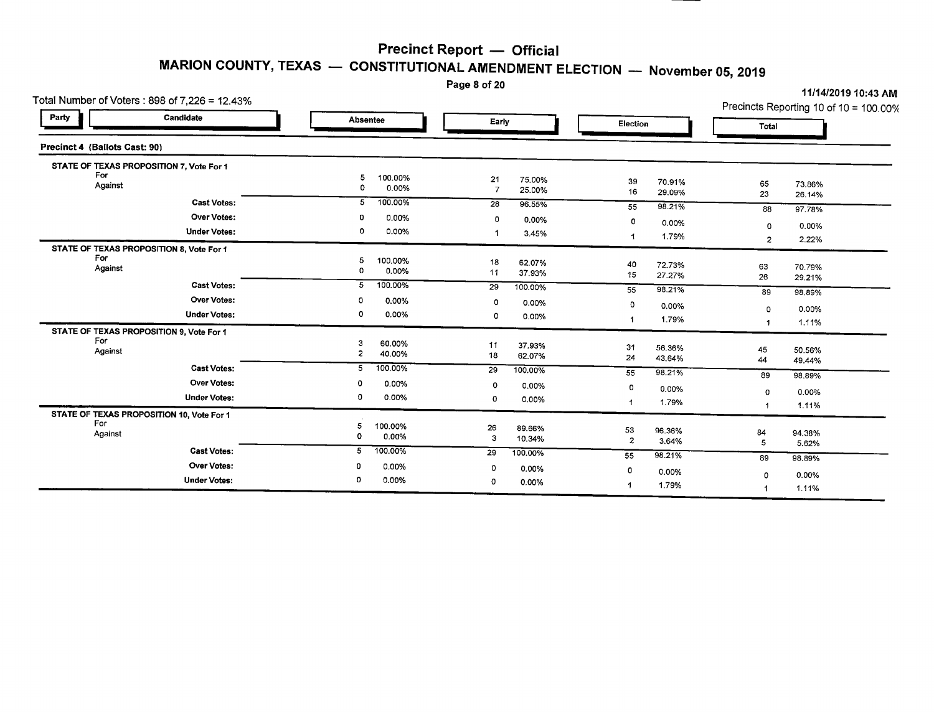Page 8 of 20

| Total Number of Voters: 898 of 7,226 = 12.43%              | 11/14/2019 10:43 AM<br>Precincts Reporting 10 of 10 = 100.00% |                                          |                              |                              |
|------------------------------------------------------------|---------------------------------------------------------------|------------------------------------------|------------------------------|------------------------------|
| Party<br>Candidate                                         | <b>Absentee</b>                                               | Early                                    | Election                     | Total                        |
| Precinct 4 (Ballots Cast: 90)                              |                                                               |                                          |                              |                              |
| STATE OF TEXAS PROPOSITION 7, Vote For 1                   |                                                               |                                          |                              |                              |
| For<br>Against                                             | 5<br>100.00%<br>0<br>0.00%                                    | 21<br>75.00%<br>$\overline{7}$<br>25.00% | 39<br>70.91%<br>16<br>29.09% | 65<br>73.86%<br>23<br>26.14% |
| <b>Cast Votes:</b>                                         | 100.00%<br>5                                                  | 28<br>96.55%                             | 98.21%<br>55                 | 88<br>97.78%                 |
| <b>Over Votes:</b>                                         | 0.00%<br>0                                                    | 0<br>0.00%                               | 0<br>0.00%                   | $\mathbf 0$<br>$0.00\%$      |
| <b>Under Votes:</b>                                        | 0<br>0.00%                                                    | 3.45%<br>1                               | 1.79%<br>$\mathbf 1$         | 2.22%<br>$\overline{2}$      |
| STATE OF TEXAS PROPOSITION 8, Vote For 1<br>For<br>Against | 100.00%<br>5<br>0.00%<br>0                                    | 18<br>62.07%<br>11<br>37.93%             | 40<br>72.73%<br>15<br>27.27% | 63<br>70.79%                 |
| <b>Cast Votes:</b>                                         | 100.00%<br>5                                                  | 29<br>100.00%                            | 98.21%<br>55                 | 26<br>29.21%                 |
| <b>Over Votes:</b>                                         | 0<br>0.00%                                                    | $\Omega$<br>0.00%                        | $\circ$<br>0.00%             | 89<br>98,89%                 |
| <b>Under Votes:</b>                                        | 0<br>0.00%                                                    | $\Omega$<br>0.00%                        | 1.79%                        | 0.00%<br>0                   |
| STATE OF TEXAS PROPOSITION 9, Vote For 1                   |                                                               |                                          |                              | 1.11%<br>1                   |
| For<br>Against                                             | 3<br>60.00%<br>$\overline{\mathbf{c}}$<br>40.00%              | 11<br>37.93%<br>18<br>62.07%             | 31<br>56.36%<br>24<br>43.64% | 45<br>50.56%<br>44<br>49.44% |
| <b>Cast Votes:</b>                                         | 100.00%<br>5                                                  | 29<br>100.00%                            | 55<br>98.21%                 | 89<br>98.89%                 |
| <b>Over Votes:</b>                                         | 0<br>0.00%                                                    | 0<br>0.00%                               | 0<br>0.00%                   | 0.00%<br>0                   |
| <b>Under Votes:</b>                                        | 0<br>0.00%                                                    | $\Omega$<br>0.00%                        | 1.79%<br>1                   | 1.11%                        |
| STATE OF TEXAS PROPOSITION 10, Vote For 1                  |                                                               |                                          |                              |                              |
| For<br>Against                                             | 5<br>100.00%<br>0<br>0.00%                                    | 26<br>89.66%                             | 53<br>96.36%                 | 84<br>94.38%                 |
| <b>Cast Votes:</b>                                         | 5<br>100.00%                                                  | 3<br>10.34%                              | $\overline{c}$<br>3.64%      | 5<br>5.62%                   |
| <b>Over Votes:</b>                                         | 0                                                             | 29<br>100.00%                            | 98.21%<br>55                 | 89<br>98,89%                 |
| <b>Under Votes:</b>                                        | 0.00%<br>0.00%<br>0                                           | 0<br>0.00%                               | 0<br>0.00%                   | 0.00%<br>0                   |
|                                                            |                                                               | 0<br>0.00%                               | 1.79%<br>-1                  | 1.11%                        |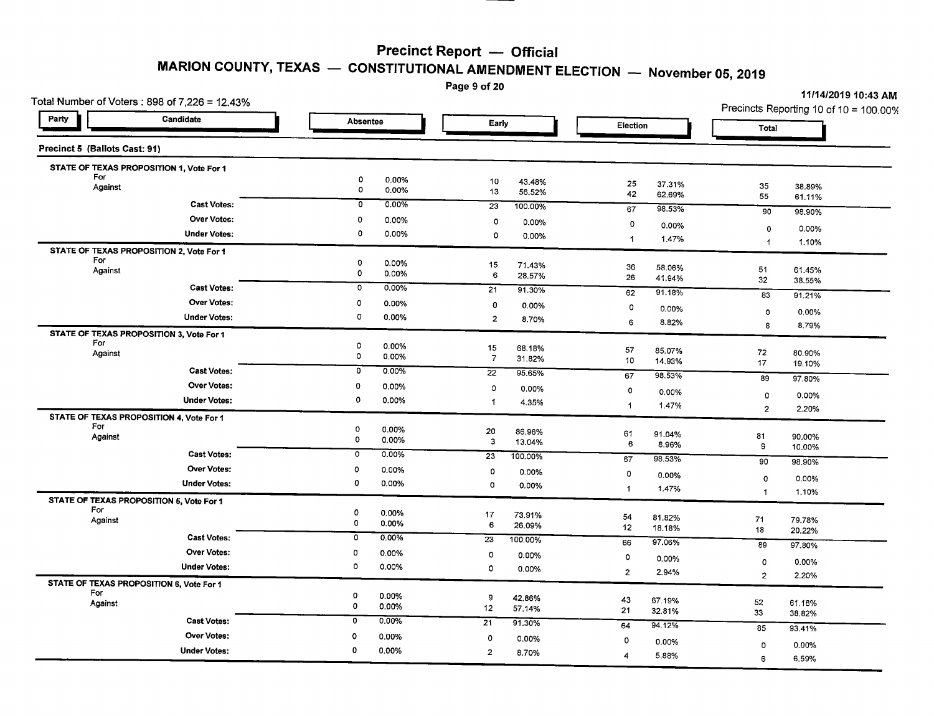Page 9 of 20

| Party<br>Candidate<br>Absentee<br>Early<br>Election<br>Total<br>Precinct 5 (Ballots Cast: 91)<br>STATE OF TEXAS PROPOSITION 1, Vote For 1<br>For<br>0<br>0.00%<br>10<br>43.48%<br>25<br>37.31%<br>35<br>38.89%<br>Against<br>$\mathbf 0$<br>0.00%<br>13<br>56.52%<br>42<br>62.69%<br>55<br>61.11%<br>$\circ$<br>0.00%<br><b>Cast Votes:</b><br>$\overline{23}$<br>100.00%<br>67<br>98.53%<br>90<br>98.90%<br>Over Votes:<br>O<br>0.00%<br>0<br>0.00%<br>$\circ$<br>0.00%<br>$\mathbf 0$<br>0.00%<br>$\mathbf 0$<br><b>Under Votes:</b><br>0.00%<br>0<br>0.00%<br>$\mathbf{1}$<br>1.47%<br>1.10%<br>$\blacktriangleleft$<br>STATE OF TEXAS PROPOSITION 2, Vote For 1<br>For<br>0<br>0.00%<br>15<br>71.43%<br>36<br>58.06%<br>51<br>61.45%<br>Against<br>0<br>0.00%<br>6<br>28.57%<br>26<br>41.94%<br>32<br>38.55%<br><b>Cast Votes:</b><br>o<br>0.00%<br>21<br>91.30%<br>62<br>91.18%<br>83<br>91.21%<br><b>Over Votes:</b><br>0<br>0.00%<br>$\mathbf 0$<br>0.00%<br>$\circ$<br>0.00%<br>0<br>$0.00\%$<br>0<br><b>Under Votes:</b><br>0.00%<br>$\overline{2}$<br>8.70%<br>6<br>8.82%<br>8<br>8.79%<br>STATE OF TEXAS PROPOSITION 3, Vote For 1<br>For<br>0<br>0.00%<br>15<br>68.18%<br>57<br>85.07%<br>72<br>80.90%<br>Against<br>0<br>0.00%<br>$\overline{7}$<br>31.82%<br>10<br>14.93%<br>17<br>19.10%<br><b>Cast Votes:</b><br>0<br>0.00%<br>$\overline{22}$<br>95.65%<br>98.53%<br>67<br>89<br>97.80%<br>Over Votes:<br>$\circ$<br>0.00%<br>$\circ$<br>0.00%<br>$\circ$<br>0.00%<br>0<br>0.00%<br>$\mathbf 0$<br><b>Under Votes:</b><br>0.00%<br>-1<br>4.35%<br>1.47%<br>1<br>$\overline{2}$<br>2.20%<br>STATE OF TEXAS PROPOSITION 4, Vote For 1<br>For<br>$\mathbf 0$<br>0.00%<br>20<br>86.96%<br>61<br>91.04%<br>81<br>Against<br>90.00%<br>$\mathbf 0$<br>0.00%<br>$\mathbf{3}$<br>13.04%<br>6<br>8.96%<br>9<br>10.00%<br>Cast Votes:<br>$\overline{\circ}$<br>0.00%<br>23<br>100.00%<br>67<br>98.53%<br>90<br>98.90%<br><b>Over Votes:</b><br>$\mathbf 0$<br>0.00%<br>$\circ$<br>0.00%<br>$\mathbf 0$<br>0.00%<br>$\circ$<br>0.00%<br>0<br><b>Under Votes:</b><br>0.00%<br>$\circ$<br>0.00%<br>1.47%<br>$\blacktriangleleft$<br>$\mathbf{1}$<br>1.10%<br>STATE OF TEXAS PROPOSITION 5, Vote For 1<br>For<br>0<br>0.00%<br>17<br>73.91%<br>54<br>81.82%<br>$\bf 71$<br>Against<br>79.78%<br>0<br>0.00%<br>6<br>26.09%<br>12<br>18.18%<br>18<br>20.22%<br><b>Cast Votes:</b><br>0<br>0.00%<br>$\overline{23}$<br>100.00%<br>97.06%<br>66<br>89<br>97.80%<br><b>Over Votes:</b><br>0<br>0.00%<br>$\circ$<br>0.00%<br>0<br>0.00%<br>0<br>0.00%<br>O<br>0.00%<br><b>Under Votes:</b><br>0<br>0.00%<br>$\overline{2}$<br>2.94%<br>$\overline{2}$<br>2.20%<br>STATE OF TEXAS PROPOSITION 6, Vote For 1<br>For<br>o<br>0.00%<br>9<br>42.86%<br>43<br>67.19%<br>52<br>Against<br>61.18%<br>0<br>0.00%<br>12<br>57.14%<br>21<br>32.81%<br>33<br>38.82%<br>$\overline{0}$<br>0.00%<br><b>Cast Votes:</b><br>21<br>91.30%<br>64<br>$94.12\%$<br>85<br>93.41%<br><b>Over Votes:</b><br>$\circ$<br>0.00%<br>$\circ$<br>$0.00\%$<br>$\circ$<br>0.00%<br>$\mathbf 0$<br>0.00%<br>0<br><b>Under Votes:</b><br>0.00%<br>$\overline{2}$<br>8.70%<br>5.88%<br>4 | Total Number of Voters: 898 of 7,226 = 12.43% | raye ə or zu | 11/14/2019 10:43 AM                    |
|-----------------------------------------------------------------------------------------------------------------------------------------------------------------------------------------------------------------------------------------------------------------------------------------------------------------------------------------------------------------------------------------------------------------------------------------------------------------------------------------------------------------------------------------------------------------------------------------------------------------------------------------------------------------------------------------------------------------------------------------------------------------------------------------------------------------------------------------------------------------------------------------------------------------------------------------------------------------------------------------------------------------------------------------------------------------------------------------------------------------------------------------------------------------------------------------------------------------------------------------------------------------------------------------------------------------------------------------------------------------------------------------------------------------------------------------------------------------------------------------------------------------------------------------------------------------------------------------------------------------------------------------------------------------------------------------------------------------------------------------------------------------------------------------------------------------------------------------------------------------------------------------------------------------------------------------------------------------------------------------------------------------------------------------------------------------------------------------------------------------------------------------------------------------------------------------------------------------------------------------------------------------------------------------------------------------------------------------------------------------------------------------------------------------------------------------------------------------------------------------------------------------------------------------------------------------------------------------------------------------------------------------------------------------------------------------------------------------------------------------------------------------------------------------------------------------------------------------------------------------------------------------------------------------------------------------------------------------------------------------------------------------------------------------------------------------------------------------------------------------------------------------------------|-----------------------------------------------|--------------|----------------------------------------|
|                                                                                                                                                                                                                                                                                                                                                                                                                                                                                                                                                                                                                                                                                                                                                                                                                                                                                                                                                                                                                                                                                                                                                                                                                                                                                                                                                                                                                                                                                                                                                                                                                                                                                                                                                                                                                                                                                                                                                                                                                                                                                                                                                                                                                                                                                                                                                                                                                                                                                                                                                                                                                                                                                                                                                                                                                                                                                                                                                                                                                                                                                                                                                     |                                               |              | Precincts Reporting 10 of 10 = 100.00% |
|                                                                                                                                                                                                                                                                                                                                                                                                                                                                                                                                                                                                                                                                                                                                                                                                                                                                                                                                                                                                                                                                                                                                                                                                                                                                                                                                                                                                                                                                                                                                                                                                                                                                                                                                                                                                                                                                                                                                                                                                                                                                                                                                                                                                                                                                                                                                                                                                                                                                                                                                                                                                                                                                                                                                                                                                                                                                                                                                                                                                                                                                                                                                                     |                                               |              |                                        |
|                                                                                                                                                                                                                                                                                                                                                                                                                                                                                                                                                                                                                                                                                                                                                                                                                                                                                                                                                                                                                                                                                                                                                                                                                                                                                                                                                                                                                                                                                                                                                                                                                                                                                                                                                                                                                                                                                                                                                                                                                                                                                                                                                                                                                                                                                                                                                                                                                                                                                                                                                                                                                                                                                                                                                                                                                                                                                                                                                                                                                                                                                                                                                     |                                               |              |                                        |
|                                                                                                                                                                                                                                                                                                                                                                                                                                                                                                                                                                                                                                                                                                                                                                                                                                                                                                                                                                                                                                                                                                                                                                                                                                                                                                                                                                                                                                                                                                                                                                                                                                                                                                                                                                                                                                                                                                                                                                                                                                                                                                                                                                                                                                                                                                                                                                                                                                                                                                                                                                                                                                                                                                                                                                                                                                                                                                                                                                                                                                                                                                                                                     |                                               |              |                                        |
|                                                                                                                                                                                                                                                                                                                                                                                                                                                                                                                                                                                                                                                                                                                                                                                                                                                                                                                                                                                                                                                                                                                                                                                                                                                                                                                                                                                                                                                                                                                                                                                                                                                                                                                                                                                                                                                                                                                                                                                                                                                                                                                                                                                                                                                                                                                                                                                                                                                                                                                                                                                                                                                                                                                                                                                                                                                                                                                                                                                                                                                                                                                                                     |                                               |              |                                        |
|                                                                                                                                                                                                                                                                                                                                                                                                                                                                                                                                                                                                                                                                                                                                                                                                                                                                                                                                                                                                                                                                                                                                                                                                                                                                                                                                                                                                                                                                                                                                                                                                                                                                                                                                                                                                                                                                                                                                                                                                                                                                                                                                                                                                                                                                                                                                                                                                                                                                                                                                                                                                                                                                                                                                                                                                                                                                                                                                                                                                                                                                                                                                                     |                                               |              |                                        |
|                                                                                                                                                                                                                                                                                                                                                                                                                                                                                                                                                                                                                                                                                                                                                                                                                                                                                                                                                                                                                                                                                                                                                                                                                                                                                                                                                                                                                                                                                                                                                                                                                                                                                                                                                                                                                                                                                                                                                                                                                                                                                                                                                                                                                                                                                                                                                                                                                                                                                                                                                                                                                                                                                                                                                                                                                                                                                                                                                                                                                                                                                                                                                     |                                               |              |                                        |
|                                                                                                                                                                                                                                                                                                                                                                                                                                                                                                                                                                                                                                                                                                                                                                                                                                                                                                                                                                                                                                                                                                                                                                                                                                                                                                                                                                                                                                                                                                                                                                                                                                                                                                                                                                                                                                                                                                                                                                                                                                                                                                                                                                                                                                                                                                                                                                                                                                                                                                                                                                                                                                                                                                                                                                                                                                                                                                                                                                                                                                                                                                                                                     |                                               |              |                                        |
|                                                                                                                                                                                                                                                                                                                                                                                                                                                                                                                                                                                                                                                                                                                                                                                                                                                                                                                                                                                                                                                                                                                                                                                                                                                                                                                                                                                                                                                                                                                                                                                                                                                                                                                                                                                                                                                                                                                                                                                                                                                                                                                                                                                                                                                                                                                                                                                                                                                                                                                                                                                                                                                                                                                                                                                                                                                                                                                                                                                                                                                                                                                                                     |                                               |              |                                        |
|                                                                                                                                                                                                                                                                                                                                                                                                                                                                                                                                                                                                                                                                                                                                                                                                                                                                                                                                                                                                                                                                                                                                                                                                                                                                                                                                                                                                                                                                                                                                                                                                                                                                                                                                                                                                                                                                                                                                                                                                                                                                                                                                                                                                                                                                                                                                                                                                                                                                                                                                                                                                                                                                                                                                                                                                                                                                                                                                                                                                                                                                                                                                                     |                                               |              |                                        |
|                                                                                                                                                                                                                                                                                                                                                                                                                                                                                                                                                                                                                                                                                                                                                                                                                                                                                                                                                                                                                                                                                                                                                                                                                                                                                                                                                                                                                                                                                                                                                                                                                                                                                                                                                                                                                                                                                                                                                                                                                                                                                                                                                                                                                                                                                                                                                                                                                                                                                                                                                                                                                                                                                                                                                                                                                                                                                                                                                                                                                                                                                                                                                     |                                               |              |                                        |
|                                                                                                                                                                                                                                                                                                                                                                                                                                                                                                                                                                                                                                                                                                                                                                                                                                                                                                                                                                                                                                                                                                                                                                                                                                                                                                                                                                                                                                                                                                                                                                                                                                                                                                                                                                                                                                                                                                                                                                                                                                                                                                                                                                                                                                                                                                                                                                                                                                                                                                                                                                                                                                                                                                                                                                                                                                                                                                                                                                                                                                                                                                                                                     |                                               |              |                                        |
|                                                                                                                                                                                                                                                                                                                                                                                                                                                                                                                                                                                                                                                                                                                                                                                                                                                                                                                                                                                                                                                                                                                                                                                                                                                                                                                                                                                                                                                                                                                                                                                                                                                                                                                                                                                                                                                                                                                                                                                                                                                                                                                                                                                                                                                                                                                                                                                                                                                                                                                                                                                                                                                                                                                                                                                                                                                                                                                                                                                                                                                                                                                                                     |                                               |              |                                        |
|                                                                                                                                                                                                                                                                                                                                                                                                                                                                                                                                                                                                                                                                                                                                                                                                                                                                                                                                                                                                                                                                                                                                                                                                                                                                                                                                                                                                                                                                                                                                                                                                                                                                                                                                                                                                                                                                                                                                                                                                                                                                                                                                                                                                                                                                                                                                                                                                                                                                                                                                                                                                                                                                                                                                                                                                                                                                                                                                                                                                                                                                                                                                                     |                                               |              |                                        |
|                                                                                                                                                                                                                                                                                                                                                                                                                                                                                                                                                                                                                                                                                                                                                                                                                                                                                                                                                                                                                                                                                                                                                                                                                                                                                                                                                                                                                                                                                                                                                                                                                                                                                                                                                                                                                                                                                                                                                                                                                                                                                                                                                                                                                                                                                                                                                                                                                                                                                                                                                                                                                                                                                                                                                                                                                                                                                                                                                                                                                                                                                                                                                     |                                               |              |                                        |
|                                                                                                                                                                                                                                                                                                                                                                                                                                                                                                                                                                                                                                                                                                                                                                                                                                                                                                                                                                                                                                                                                                                                                                                                                                                                                                                                                                                                                                                                                                                                                                                                                                                                                                                                                                                                                                                                                                                                                                                                                                                                                                                                                                                                                                                                                                                                                                                                                                                                                                                                                                                                                                                                                                                                                                                                                                                                                                                                                                                                                                                                                                                                                     |                                               |              |                                        |
|                                                                                                                                                                                                                                                                                                                                                                                                                                                                                                                                                                                                                                                                                                                                                                                                                                                                                                                                                                                                                                                                                                                                                                                                                                                                                                                                                                                                                                                                                                                                                                                                                                                                                                                                                                                                                                                                                                                                                                                                                                                                                                                                                                                                                                                                                                                                                                                                                                                                                                                                                                                                                                                                                                                                                                                                                                                                                                                                                                                                                                                                                                                                                     |                                               |              |                                        |
|                                                                                                                                                                                                                                                                                                                                                                                                                                                                                                                                                                                                                                                                                                                                                                                                                                                                                                                                                                                                                                                                                                                                                                                                                                                                                                                                                                                                                                                                                                                                                                                                                                                                                                                                                                                                                                                                                                                                                                                                                                                                                                                                                                                                                                                                                                                                                                                                                                                                                                                                                                                                                                                                                                                                                                                                                                                                                                                                                                                                                                                                                                                                                     |                                               |              |                                        |
|                                                                                                                                                                                                                                                                                                                                                                                                                                                                                                                                                                                                                                                                                                                                                                                                                                                                                                                                                                                                                                                                                                                                                                                                                                                                                                                                                                                                                                                                                                                                                                                                                                                                                                                                                                                                                                                                                                                                                                                                                                                                                                                                                                                                                                                                                                                                                                                                                                                                                                                                                                                                                                                                                                                                                                                                                                                                                                                                                                                                                                                                                                                                                     |                                               |              |                                        |
|                                                                                                                                                                                                                                                                                                                                                                                                                                                                                                                                                                                                                                                                                                                                                                                                                                                                                                                                                                                                                                                                                                                                                                                                                                                                                                                                                                                                                                                                                                                                                                                                                                                                                                                                                                                                                                                                                                                                                                                                                                                                                                                                                                                                                                                                                                                                                                                                                                                                                                                                                                                                                                                                                                                                                                                                                                                                                                                                                                                                                                                                                                                                                     |                                               |              |                                        |
|                                                                                                                                                                                                                                                                                                                                                                                                                                                                                                                                                                                                                                                                                                                                                                                                                                                                                                                                                                                                                                                                                                                                                                                                                                                                                                                                                                                                                                                                                                                                                                                                                                                                                                                                                                                                                                                                                                                                                                                                                                                                                                                                                                                                                                                                                                                                                                                                                                                                                                                                                                                                                                                                                                                                                                                                                                                                                                                                                                                                                                                                                                                                                     |                                               |              |                                        |
|                                                                                                                                                                                                                                                                                                                                                                                                                                                                                                                                                                                                                                                                                                                                                                                                                                                                                                                                                                                                                                                                                                                                                                                                                                                                                                                                                                                                                                                                                                                                                                                                                                                                                                                                                                                                                                                                                                                                                                                                                                                                                                                                                                                                                                                                                                                                                                                                                                                                                                                                                                                                                                                                                                                                                                                                                                                                                                                                                                                                                                                                                                                                                     |                                               |              |                                        |
|                                                                                                                                                                                                                                                                                                                                                                                                                                                                                                                                                                                                                                                                                                                                                                                                                                                                                                                                                                                                                                                                                                                                                                                                                                                                                                                                                                                                                                                                                                                                                                                                                                                                                                                                                                                                                                                                                                                                                                                                                                                                                                                                                                                                                                                                                                                                                                                                                                                                                                                                                                                                                                                                                                                                                                                                                                                                                                                                                                                                                                                                                                                                                     |                                               |              |                                        |
|                                                                                                                                                                                                                                                                                                                                                                                                                                                                                                                                                                                                                                                                                                                                                                                                                                                                                                                                                                                                                                                                                                                                                                                                                                                                                                                                                                                                                                                                                                                                                                                                                                                                                                                                                                                                                                                                                                                                                                                                                                                                                                                                                                                                                                                                                                                                                                                                                                                                                                                                                                                                                                                                                                                                                                                                                                                                                                                                                                                                                                                                                                                                                     |                                               |              |                                        |
|                                                                                                                                                                                                                                                                                                                                                                                                                                                                                                                                                                                                                                                                                                                                                                                                                                                                                                                                                                                                                                                                                                                                                                                                                                                                                                                                                                                                                                                                                                                                                                                                                                                                                                                                                                                                                                                                                                                                                                                                                                                                                                                                                                                                                                                                                                                                                                                                                                                                                                                                                                                                                                                                                                                                                                                                                                                                                                                                                                                                                                                                                                                                                     |                                               |              |                                        |
|                                                                                                                                                                                                                                                                                                                                                                                                                                                                                                                                                                                                                                                                                                                                                                                                                                                                                                                                                                                                                                                                                                                                                                                                                                                                                                                                                                                                                                                                                                                                                                                                                                                                                                                                                                                                                                                                                                                                                                                                                                                                                                                                                                                                                                                                                                                                                                                                                                                                                                                                                                                                                                                                                                                                                                                                                                                                                                                                                                                                                                                                                                                                                     |                                               |              |                                        |
|                                                                                                                                                                                                                                                                                                                                                                                                                                                                                                                                                                                                                                                                                                                                                                                                                                                                                                                                                                                                                                                                                                                                                                                                                                                                                                                                                                                                                                                                                                                                                                                                                                                                                                                                                                                                                                                                                                                                                                                                                                                                                                                                                                                                                                                                                                                                                                                                                                                                                                                                                                                                                                                                                                                                                                                                                                                                                                                                                                                                                                                                                                                                                     |                                               |              |                                        |
|                                                                                                                                                                                                                                                                                                                                                                                                                                                                                                                                                                                                                                                                                                                                                                                                                                                                                                                                                                                                                                                                                                                                                                                                                                                                                                                                                                                                                                                                                                                                                                                                                                                                                                                                                                                                                                                                                                                                                                                                                                                                                                                                                                                                                                                                                                                                                                                                                                                                                                                                                                                                                                                                                                                                                                                                                                                                                                                                                                                                                                                                                                                                                     |                                               |              |                                        |
|                                                                                                                                                                                                                                                                                                                                                                                                                                                                                                                                                                                                                                                                                                                                                                                                                                                                                                                                                                                                                                                                                                                                                                                                                                                                                                                                                                                                                                                                                                                                                                                                                                                                                                                                                                                                                                                                                                                                                                                                                                                                                                                                                                                                                                                                                                                                                                                                                                                                                                                                                                                                                                                                                                                                                                                                                                                                                                                                                                                                                                                                                                                                                     |                                               |              |                                        |
|                                                                                                                                                                                                                                                                                                                                                                                                                                                                                                                                                                                                                                                                                                                                                                                                                                                                                                                                                                                                                                                                                                                                                                                                                                                                                                                                                                                                                                                                                                                                                                                                                                                                                                                                                                                                                                                                                                                                                                                                                                                                                                                                                                                                                                                                                                                                                                                                                                                                                                                                                                                                                                                                                                                                                                                                                                                                                                                                                                                                                                                                                                                                                     |                                               |              |                                        |
|                                                                                                                                                                                                                                                                                                                                                                                                                                                                                                                                                                                                                                                                                                                                                                                                                                                                                                                                                                                                                                                                                                                                                                                                                                                                                                                                                                                                                                                                                                                                                                                                                                                                                                                                                                                                                                                                                                                                                                                                                                                                                                                                                                                                                                                                                                                                                                                                                                                                                                                                                                                                                                                                                                                                                                                                                                                                                                                                                                                                                                                                                                                                                     |                                               |              |                                        |
|                                                                                                                                                                                                                                                                                                                                                                                                                                                                                                                                                                                                                                                                                                                                                                                                                                                                                                                                                                                                                                                                                                                                                                                                                                                                                                                                                                                                                                                                                                                                                                                                                                                                                                                                                                                                                                                                                                                                                                                                                                                                                                                                                                                                                                                                                                                                                                                                                                                                                                                                                                                                                                                                                                                                                                                                                                                                                                                                                                                                                                                                                                                                                     |                                               |              |                                        |
|                                                                                                                                                                                                                                                                                                                                                                                                                                                                                                                                                                                                                                                                                                                                                                                                                                                                                                                                                                                                                                                                                                                                                                                                                                                                                                                                                                                                                                                                                                                                                                                                                                                                                                                                                                                                                                                                                                                                                                                                                                                                                                                                                                                                                                                                                                                                                                                                                                                                                                                                                                                                                                                                                                                                                                                                                                                                                                                                                                                                                                                                                                                                                     |                                               |              |                                        |
|                                                                                                                                                                                                                                                                                                                                                                                                                                                                                                                                                                                                                                                                                                                                                                                                                                                                                                                                                                                                                                                                                                                                                                                                                                                                                                                                                                                                                                                                                                                                                                                                                                                                                                                                                                                                                                                                                                                                                                                                                                                                                                                                                                                                                                                                                                                                                                                                                                                                                                                                                                                                                                                                                                                                                                                                                                                                                                                                                                                                                                                                                                                                                     |                                               |              |                                        |
|                                                                                                                                                                                                                                                                                                                                                                                                                                                                                                                                                                                                                                                                                                                                                                                                                                                                                                                                                                                                                                                                                                                                                                                                                                                                                                                                                                                                                                                                                                                                                                                                                                                                                                                                                                                                                                                                                                                                                                                                                                                                                                                                                                                                                                                                                                                                                                                                                                                                                                                                                                                                                                                                                                                                                                                                                                                                                                                                                                                                                                                                                                                                                     |                                               |              |                                        |
|                                                                                                                                                                                                                                                                                                                                                                                                                                                                                                                                                                                                                                                                                                                                                                                                                                                                                                                                                                                                                                                                                                                                                                                                                                                                                                                                                                                                                                                                                                                                                                                                                                                                                                                                                                                                                                                                                                                                                                                                                                                                                                                                                                                                                                                                                                                                                                                                                                                                                                                                                                                                                                                                                                                                                                                                                                                                                                                                                                                                                                                                                                                                                     |                                               |              |                                        |
|                                                                                                                                                                                                                                                                                                                                                                                                                                                                                                                                                                                                                                                                                                                                                                                                                                                                                                                                                                                                                                                                                                                                                                                                                                                                                                                                                                                                                                                                                                                                                                                                                                                                                                                                                                                                                                                                                                                                                                                                                                                                                                                                                                                                                                                                                                                                                                                                                                                                                                                                                                                                                                                                                                                                                                                                                                                                                                                                                                                                                                                                                                                                                     |                                               |              |                                        |
|                                                                                                                                                                                                                                                                                                                                                                                                                                                                                                                                                                                                                                                                                                                                                                                                                                                                                                                                                                                                                                                                                                                                                                                                                                                                                                                                                                                                                                                                                                                                                                                                                                                                                                                                                                                                                                                                                                                                                                                                                                                                                                                                                                                                                                                                                                                                                                                                                                                                                                                                                                                                                                                                                                                                                                                                                                                                                                                                                                                                                                                                                                                                                     |                                               |              | 6<br>6.59%                             |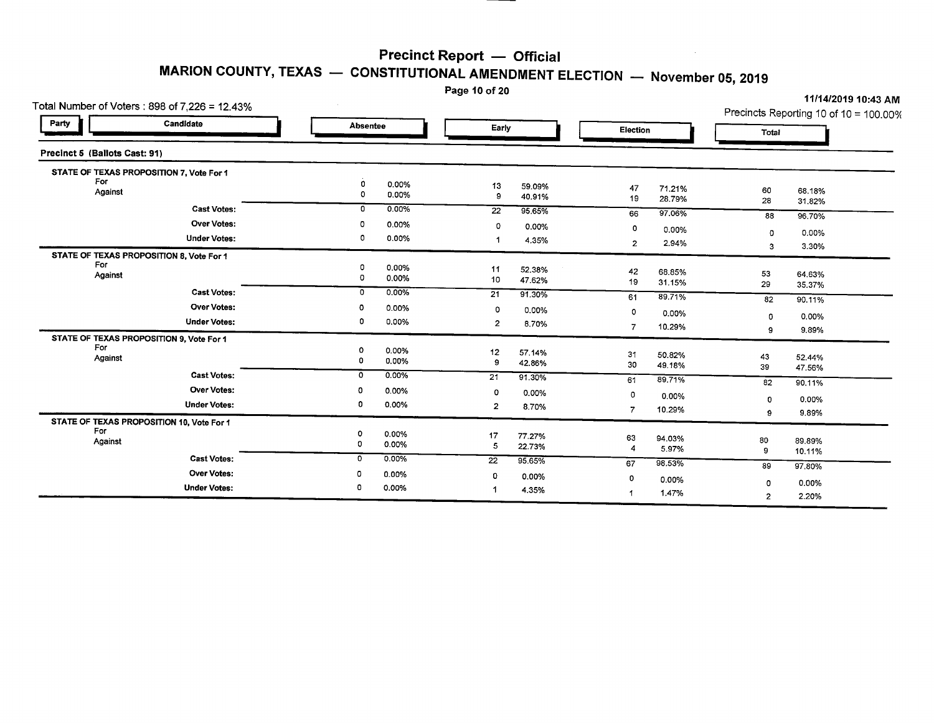Page 10 of 20

| Total Number of Voters: 898 of 7,226 = 12.43%   |                  |                |                 |        |                    |                  |             | $\cdots$<br>Precincts Reporting 10 of 10 = 100.00% |
|-------------------------------------------------|------------------|----------------|-----------------|--------|--------------------|------------------|-------------|----------------------------------------------------|
| Candidate<br>Party                              | <b>Absentee</b>  |                | Early           |        | Election           |                  | Total       |                                                    |
| Precinct 5 (Ballots Cast: 91)                   |                  |                |                 |        |                    |                  |             |                                                    |
| STATE OF TEXAS PROPOSITION 7, Vote For 1        |                  |                |                 |        |                    |                  |             |                                                    |
| For                                             | 0                | 0.00%          | 13              | 59.09% | 47                 | 71.21%           | 60          |                                                    |
| Against                                         | 0                | 0.00%          | 9               | 40.91% | 19                 | 28.79%           | 28          | 68.18%<br>31.82%                                   |
| <b>Cast Votes:</b>                              | 0                | 0.00%          | $\overline{22}$ | 95.65% | 66                 | 97.06%           | 88          | 96.70%                                             |
| <b>Over Votes:</b>                              | o                | 0.00%          | 0               | 0.00%  | $\Omega$           |                  |             |                                                    |
| <b>Under Votes:</b>                             | 0                | 0.00%          |                 | 4.35%  |                    | 0.00%            | 0           | 0.00%                                              |
|                                                 |                  |                |                 |        | $\overline{2}$     | 2.94%            | 3           | 3.30%                                              |
| STATE OF TEXAS PROPOSITION 8, Vote For 1<br>For |                  |                |                 |        |                    |                  |             |                                                    |
| Against                                         | 0<br>$\mathbf 0$ | 0.00%<br>0.00% | 11              | 52.38% | 42                 | 68.85%           | 53          | 64.63%                                             |
|                                                 |                  |                | 10              | 47.62% | 19                 | 31.15%           | 29          | 35.37%                                             |
| <b>Cast Votes:</b>                              | 0                | 0.00%          | 21              | 91.30% | 61                 | 89.71%           | 82          | 90.11%                                             |
| <b>Over Votes:</b>                              | o                | 0.00%          | 0               | 0.00%  | 0                  | 0.00%            |             |                                                    |
| <b>Under Votes:</b>                             | 0                | 0.00%          | $\overline{c}$  | 8.70%  | $\overline{7}$     | 10.29%           | 0           | 0.00%                                              |
| STATE OF TEXAS PROPOSITION 9, Vote For 1        |                  |                |                 |        |                    |                  | 9           | 9.89%                                              |
| For                                             | o                | 0.00%          | 12              | 57.14% |                    |                  |             |                                                    |
| Against                                         | 0                | 0.00%          | 9               | 42.86% | 31<br>30           | 50.82%<br>49.18% | 43          | 52.44%                                             |
| <b>Cast Votes:</b>                              | 0                | 0.00%          | 21              | 91.30% |                    |                  | 39          | 47.56%                                             |
| <b>Over Votes:</b>                              | o                | 0.00%          |                 |        | 61                 | 89.71%           | 82          | 90.11%                                             |
|                                                 |                  |                | 0               | 0.00%  | 0                  | 0.00%            | 0           | 0.00%                                              |
| <b>Under Votes:</b>                             | 0                | 0.00%          | $\overline{2}$  | 8.70%  | 7                  | 10.29%           | 9           | 9.89%                                              |
| STATE OF TEXAS PROPOSITION 10, Vote For 1       |                  |                |                 |        |                    |                  |             |                                                    |
| For<br>Against                                  | 0                | 0.00%          | 17              | 77.27% | 63                 | 94.03%           | 80          | 89,89%                                             |
|                                                 | 0                | 0.00%          | 5               | 22.73% | $\overline{\bf 4}$ | 5.97%            | 9           | 10.11%                                             |
| <b>Cast Votes:</b>                              | 0                | 0.00%          | $\overline{22}$ | 95.65% | 67                 | 98.53%           | 89          | 97.80%                                             |
| <b>Over Votes:</b>                              | o                | $0.00\%$       | o               | 0.00%  | 0                  |                  |             |                                                    |
| <b>Under Votes:</b>                             | 0                | 0.00%          | 1               | 4.35%  |                    | 0.00%            | $\mathbf 0$ | 0.00%                                              |
|                                                 |                  |                |                 |        | 1                  | 1.47%            | 2           | 2.20%                                              |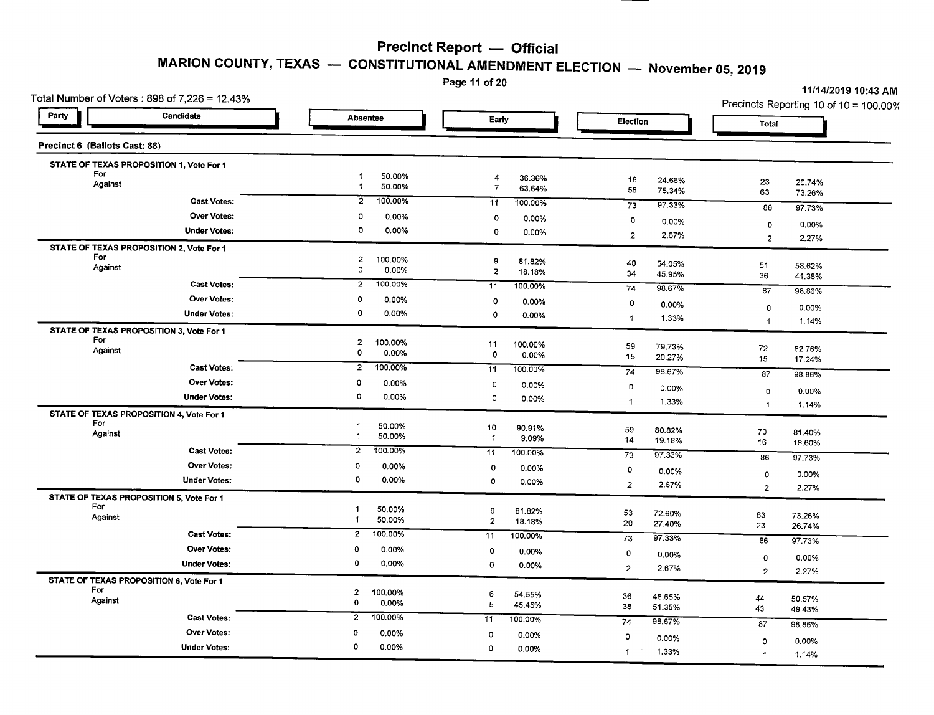# **MARION COUNTY, TEXAS - CONSTITUTIONAL AMENDMENT ELECTION - November 05,2019**

Page 11 of 20

| Total Number of Voters: 898 of 7,226 = 12.43%   |                                                   | Page 11 or 20                            |                              | 11/14/2019 10:43 AM<br>Precincts Reporting 10 of 10 = 100.00% |
|-------------------------------------------------|---------------------------------------------------|------------------------------------------|------------------------------|---------------------------------------------------------------|
| Party<br>Candidate                              | Absentee                                          | Early                                    | Election                     | Total                                                         |
| Precinct 6 (Ballots Cast: 88)                   |                                                   |                                          |                              |                                                               |
| STATE OF TEXAS PROPOSITION 1, Vote For 1        |                                                   |                                          |                              |                                                               |
| For<br>Against                                  | $\mathbf{1}$<br>50.00%<br>50.00%<br>-1            | 4<br>36.36%<br>$\overline{7}$            | 18<br>24.66%                 | 23<br>26.74%                                                  |
| <b>Cast Votes:</b>                              | 100.00%<br>$\overline{2}$                         | 63.64%<br>11<br>100.00%                  | 55<br>75.34%                 | 63<br>73.26%                                                  |
| <b>Over Votes:</b>                              | $\mathbf 0$<br>0.00%                              | o                                        | 73<br>97.33%                 | 86<br>97.73%                                                  |
| <b>Under Votes:</b>                             | 0<br>0.00%                                        | 0.00%<br>0<br>0.00%                      | 0<br>0.00%                   | 0.00%<br>0                                                    |
| STATE OF TEXAS PROPOSITION 2, Vote For 1        |                                                   |                                          | $\mathbf{z}$<br>2.67%        | 2.27%<br>$\overline{c}$                                       |
| For<br>Against                                  | $\overline{2}$<br>100.00%<br>$\mathbf 0$<br>0.00% | 9<br>81.82%<br>$\overline{2}$<br>18.18%  | 40<br>54.05%<br>34<br>45.95% | 51<br>58.62%<br>36<br>41.38%                                  |
| <b>Cast Votes:</b>                              | 100.00%<br>$\overline{2}$                         | 11<br>100.00%                            | 74<br>98.67%                 | 87<br>98.86%                                                  |
| <b>Over Votes:</b>                              | 0<br>0.00%                                        | 0<br>0.00%                               | $\mathbf 0$<br>0.00%         | $\circ$<br>0.00%                                              |
| <b>Under Votes:</b>                             | 0<br>0.00%                                        | 0<br>0.00%                               | 1.33%<br>$\mathbf{1}$        | $\overline{1}$<br>1.14%                                       |
| STATE OF TEXAS PROPOSITION 3, Vote For 1<br>For |                                                   |                                          |                              |                                                               |
| Against                                         | $\overline{2}$<br>100.00%<br>0<br>0.00%           | 11<br>100.00%                            | 59<br>79.73%                 | 72<br>82.76%                                                  |
| <b>Cast Votes:</b>                              | $\overline{2}$<br>100.00%                         | 0<br>0.00%                               | 15<br>20.27%                 | 15<br>17.24%                                                  |
| <b>Over Votes:</b>                              | 0<br>0.00%                                        | 11<br>100.00%                            | 74<br>98.67%                 | 87<br>98.86%                                                  |
| <b>Under Votes:</b>                             | 0<br>0.00%                                        | O<br>0.00%<br>$\mathbf 0$                | $\circ$<br>0.00%             | $\circ$<br>0.00%                                              |
| STATE OF TEXAS PROPOSITION 4, Vote For 1        |                                                   | 0.00%                                    | 1.33%<br>1                   | $\overline{1}$<br>1.14%                                       |
| For<br>Against                                  | 50.00%<br>$\mathbf{1}$<br>$\mathbf{1}$<br>50.00%  | 10<br>90.91%<br>$\mathbf{1}$<br>9.09%    | 59<br>80.82%<br>14<br>19.18% | 70<br>81.40%<br>16<br>18.60%                                  |
| <b>Cast Votes:</b>                              | 100.00%<br>$\overline{c}$                         | 11<br>100.00%                            | 97.33%<br>73                 | 86<br>97.73%                                                  |
| <b>Over Votes:</b>                              | o<br>0.00%                                        | 0<br>0.00%                               | 0<br>0.00%                   |                                                               |
| <b>Under Votes:</b>                             | 0<br>0.00%                                        | $\circ$<br>0.00%                         | $\overline{2}$<br>2.67%      | 0.00%<br>$\circ$<br>$\mathbf{2}$<br>2.27%                     |
| STATE OF TEXAS PROPOSITION 5, Vote For 1        |                                                   |                                          |                              |                                                               |
| For<br>Against                                  | 50.00%<br>1<br>$\blacktriangleleft$<br>50.00%     | 9<br>81.82%<br>$\overline{2}$            | 53<br>72.60%                 | 63<br>73.26%                                                  |
| <b>Cast Votes:</b>                              | 100.00%<br>$\overline{2}$                         | 18.18%<br>11<br>100.00%                  | 20<br>27.40%                 | 23<br>26.74%                                                  |
| Over Votes:                                     | 0<br>0.00%                                        |                                          | 73<br>97.33%                 | 86<br>97.73%                                                  |
| <b>Under Votes:</b>                             | 0<br>0.00%                                        | $\circ$<br>0.00%<br>$\mathbf 0$<br>0.00% | 0<br>0.00%                   | $\mathbf 0$<br>0.00%                                          |
| STATE OF TEXAS PROPOSITION 6, Vote For 1        |                                                   |                                          | $\overline{2}$<br>2.67%      | $\overline{2}$<br>2.27%                                       |
| For<br>Against                                  | $\overline{2}$<br>100.00%<br>0<br>0.00%           | 6<br>54.55%<br>${\bf 5}$<br>45.45%       | 36<br>48.65%<br>38<br>51.35% | 44<br>50.57%<br>43                                            |
| <b>Cast Votes:</b>                              | $\overline{2}$<br>100.00%                         | 11<br>100.00%                            | 74<br>98.67%                 | 49.43%                                                        |
| <b>Over Votes:</b>                              | 0<br>0.00%                                        | $\circ$<br>0.00%                         | $\mathsf{o}\,$<br>0.00%      | 87<br>98.86%                                                  |
| <b>Under Votes:</b>                             | 0<br>0.00%                                        | 0<br>0.00%                               | $\mathbf{1}$<br>1.33%        | $\mathbf 0$<br>0.00%                                          |
|                                                 |                                                   |                                          |                              | 1.14%<br>$\mathbf{1}$                                         |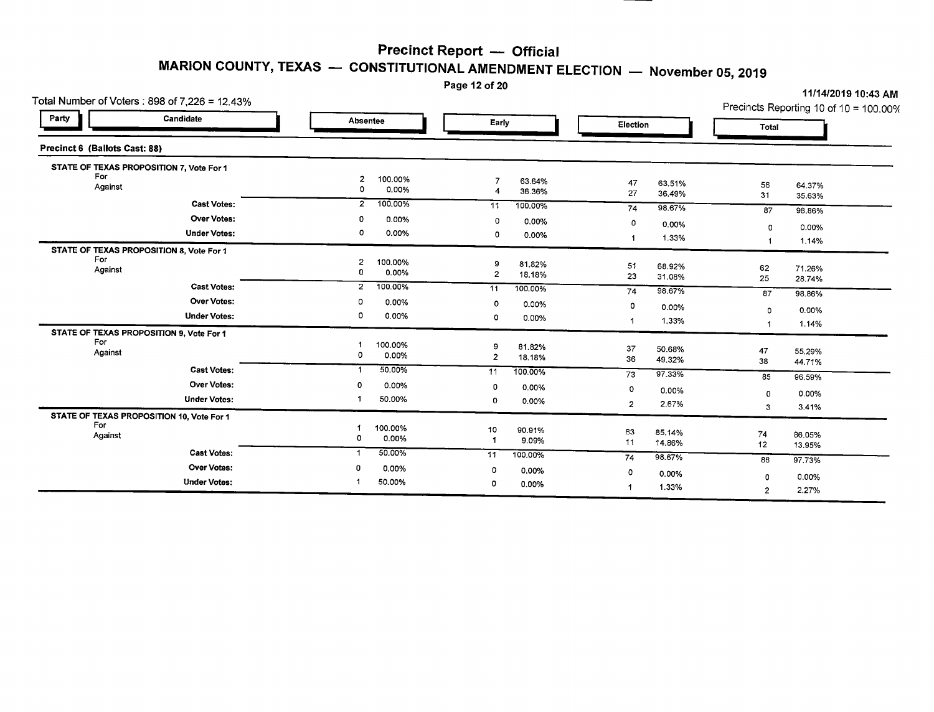Page 12 of 20

| Total Number of Voters: 898 of 7,226 = 12.43%    |                                         |                                         |                              | 11/14/2019 10:43 AM<br>Precincts Reporting 10 of 10 = 100.00% |
|--------------------------------------------------|-----------------------------------------|-----------------------------------------|------------------------------|---------------------------------------------------------------|
| Party<br>Candidate                               | <b>Absentee</b>                         | Early                                   | Election                     | Total                                                         |
| Precinct 6 (Ballots Cast: 88)                    |                                         |                                         |                              |                                                               |
| STATE OF TEXAS PROPOSITION 7, Vote For 1         |                                         |                                         |                              |                                                               |
| For<br>Against                                   | $\overline{2}$<br>100.00%<br>0<br>0.00% | 63.64%<br>36.36%<br>4                   | 47<br>63.51%<br>27<br>36.49% | 56<br>64.37%<br>31<br>35.63%                                  |
| <b>Cast Votes:</b>                               | $\overline{2}$<br>100.00%               | 11<br>100.00%                           | 98.67%<br>74                 | 87<br>98.86%                                                  |
| <b>Over Votes:</b>                               | 0.00%<br>0                              | 0<br>0.00%                              | 0<br>0.00%                   |                                                               |
| <b>Under Votes:</b>                              | 0<br>0.00%                              | 0<br>0.00%                              | 1.33%<br>$\mathbf{1}$        | 0.00%<br>0<br>1.14%                                           |
| STATE OF TEXAS PROPOSITION 8, Vote For 1         |                                         |                                         |                              |                                                               |
| For<br>Against                                   | $\overline{2}$<br>100.00%<br>0.00%<br>0 | 9<br>81.82%<br>$\overline{2}$<br>18.18% | 51<br>68.92%<br>23<br>31.08% | 62<br>71.26%<br>25<br>28.74%                                  |
| <b>Cast Votes:</b>                               | $\overline{2}$<br>100.00%               | 11<br>100.00%                           | 98.67%<br>74                 | 87<br>98.86%                                                  |
| <b>Over Votes:</b>                               | o<br>0.00%                              | Ω<br>0.00%                              | 0<br>0.00%                   |                                                               |
| <b>Under Votes:</b>                              | 0<br>0.00%                              | o<br>0.00%                              | 1.33%<br>1                   | 0.00%<br>$\circ$<br>1.14%<br>-1                               |
| STATE OF TEXAS PROPOSITION 9, Vote For 1         |                                         |                                         |                              |                                                               |
| For<br>Against                                   | 100.00%<br>$\circ$<br>0.00%             | 81.82%<br>9<br>$\overline{2}$<br>18.18% | 37<br>50.68%<br>36<br>49.32% | 47<br>55.29%<br>38<br>44.71%                                  |
| <b>Cast Votes:</b>                               | 50.00%<br>$\mathbf 1$                   | $\overline{11}$<br>100.00%              | 73<br>97.33%                 | 85<br>96.59%                                                  |
| Over Votes:                                      | 0.00%<br>0                              | 0<br>0.00%                              | $\circ$<br>0.00%             | $\mathbf 0$<br>0.00%                                          |
| <b>Under Votes:</b>                              | 50.00%                                  | 0<br>0.00%                              | $\overline{2}$<br>2.67%      | 3.41%<br>3                                                    |
| STATE OF TEXAS PROPOSITION 10, Vote For 1<br>For |                                         |                                         |                              |                                                               |
| Against                                          | 100.00%<br>0<br>0.00%                   | 10<br>90.91%<br>9.09%                   | 63<br>85.14%<br>11<br>14.86% | 74<br>86.05%<br>12<br>13.95%                                  |
| <b>Cast Votes:</b>                               | 50.00%<br>-1                            | 11<br>100.00%                           | 98.67%<br>74                 | 86<br>97.73%                                                  |
| <b>Over Votes:</b>                               | 0<br>0.00%                              | $\circ$<br>0.00%                        | 0<br>0.00%                   | 0.00%<br>$\Omega$                                             |
| <b>Under Votes:</b>                              | 50.00%                                  | 0<br>0.00%                              | 1.33%                        | 2.27%<br>$\overline{2}$                                       |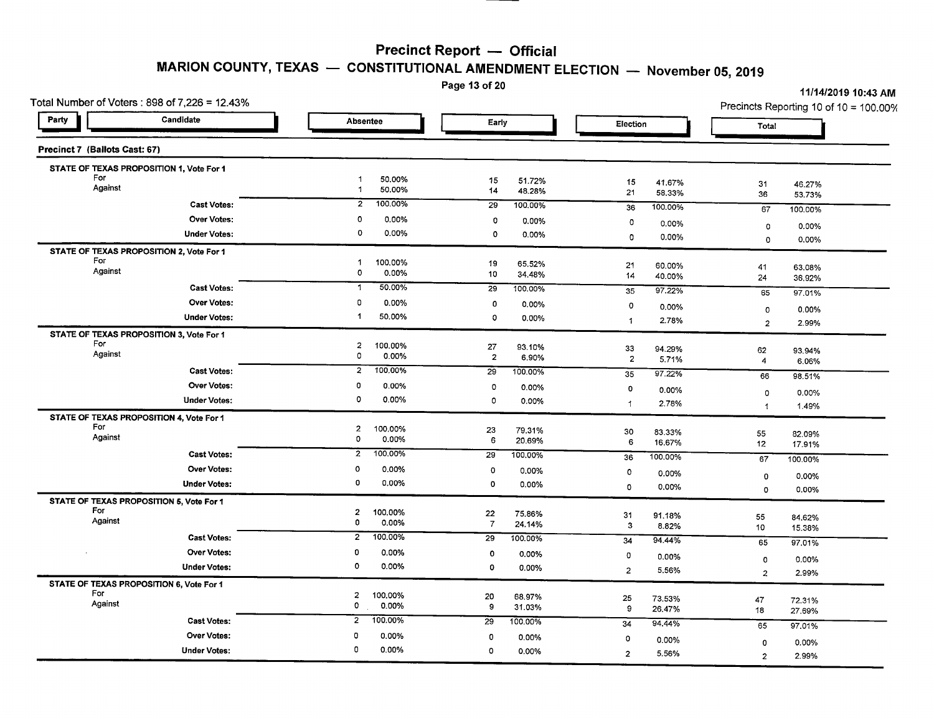Page 13 of 20

| Total Number of Voters: $898$ of $7,226 = 12.43\%$ |                                                    |                                          |                              | Precincts Reporting 10 of 10 = 100.00% |
|----------------------------------------------------|----------------------------------------------------|------------------------------------------|------------------------------|----------------------------------------|
| Party<br>Candidate                                 | <b>Absentee</b>                                    | Early                                    | Election                     | Total                                  |
| Precinct 7 (Ballots Cast: 67)                      |                                                    |                                          |                              |                                        |
| STATE OF TEXAS PROPOSITION 1, Vote For 1           |                                                    |                                          |                              |                                        |
| For<br>Against                                     | $\overline{1}$<br>50.00%<br>50.00%<br>$\mathbf{1}$ | 15<br>51.72%<br>14<br>48.28%             | 15<br>41.67%<br>21<br>58.33% | 31<br>46.27%<br>36<br>53.73%           |
| <b>Cast Votes:</b>                                 | 100.00%<br>$\overline{2}$                          | 29<br>100.00%                            | 100.00%<br>36                | 67<br>100.00%                          |
| Over Votes:                                        | $\circ$<br>0.00%                                   | 0<br>0.00%                               | 0<br>0.00%                   | 0.00%<br>0                             |
| <b>Under Votes:</b>                                | 0<br>0.00%                                         | 0<br>0.00%                               | 0.00%<br>$\circ$             | $\mathbf 0$<br>0.00%                   |
| STATE OF TEXAS PROPOSITION 2, Vote For 1           |                                                    |                                          |                              |                                        |
| For<br>Against                                     | 100.00%<br>$\blacktriangleleft$<br>$\mathbf 0$     | 19<br>65.52%                             | 21<br>60.00%                 | 41<br>63.08%                           |
|                                                    | 0.00%                                              | 10<br>34.48%                             | 14<br>40.00%                 | 24<br>36.92%                           |
| <b>Cast Votes:</b>                                 | 50.00%<br>$\mathbf{1}$                             | 29<br>100.00%                            | 97.22%<br>35                 | 65<br>97.01%                           |
| <b>Over Votes:</b>                                 | 0<br>0.00%                                         | 0<br>0.00%                               | $\circ$<br>0.00%             | 0<br>0.00%                             |
| <b>Under Votes:</b>                                | 50.00%                                             | 0<br>0.00%                               | 2.78%<br>$\overline{1}$      | $\overline{2}$<br>2.99%                |
| STATE OF TEXAS PROPOSITION 3, Vote For 1           |                                                    |                                          |                              |                                        |
| For<br>Against                                     | $\overline{a}$<br>100.00%<br>0<br>0.00%            | 27<br>93.10%<br>$\overline{2}$           | 33<br>94.29%                 | 62<br>93.94%                           |
| <b>Cast Votes:</b>                                 | $\overline{2}$<br>100.00%                          | 6.90%<br>29                              | $\overline{2}$<br>5.71%      | $\overline{4}$<br>6.06%                |
| <b>Over Votes:</b>                                 | 0                                                  | 100.00%                                  | 35<br>97.22%                 | 66<br>98.51%                           |
|                                                    | 0.00%<br>$\circ$                                   | $\mathbf 0$<br>0.00%                     | 0<br>$0.00\%$                | 0.00%<br>$\mathbf 0$                   |
| <b>Under Votes:</b>                                | 0.00%                                              | $\circ$<br>0.00%                         | 2.78%<br>$\mathbf{1}$        | 1.49%<br>$\mathbf{1}$                  |
| STATE OF TEXAS PROPOSITION 4, Vote For 1<br>For    |                                                    |                                          |                              |                                        |
| Against                                            | $\overline{c}$<br>100.00%<br>$\circ$<br>0.00%      | 23<br>79.31%<br>6<br>20.69%              | 30<br>83.33%                 | 55<br>82.09%                           |
| <b>Cast Votes:</b>                                 | $\overline{2}$<br>100.00%                          | 29<br>100.00%                            | 6<br>16.67%                  | 12<br>17.91%                           |
| <b>Over Votes:</b>                                 | 0                                                  |                                          | 100.00%<br>36                | 67<br>100.00%                          |
|                                                    | 0.00%<br>0<br>0.00%                                | $\circ$<br>0.00%                         | 0<br>0.00%                   | 0.00%<br>0                             |
| <b>Under Votes:</b>                                |                                                    | 0<br>0.00%                               | $\circ$<br>0.00%             | 0.00%<br>$\circ$                       |
| STATE OF TEXAS PROPOSITION 5, Vote For 1<br>For    |                                                    |                                          |                              |                                        |
| Against                                            | $\overline{2}$<br>100.00%<br>$\circ$<br>0.00%      | 22<br>75.86%<br>$\overline{7}$<br>24.14% | 31<br>91.18%<br>$\mathbf{3}$ | 55<br>84,62%                           |
| <b>Cast Votes:</b>                                 | 100.00%<br>$\overline{2}$                          | 29<br>100.00%                            | 8.82%<br>34<br>94.44%        | 10<br>15.38%                           |
| <b>Over Votes:</b>                                 | 0<br>0.00%                                         | $\mathbf 0$<br>0.00%                     |                              | 65<br>97.01%                           |
| <b>Under Votes:</b>                                | $\circ$<br>0.00%                                   | 0<br>0.00%                               | O<br>$0.00\%$                | 0.00%<br>$\circ$                       |
|                                                    |                                                    |                                          | $\overline{2}$<br>5.56%      | 2<br>2.99%                             |
| STATE OF TEXAS PROPOSITION 6, Vote For 1<br>For    | $\overline{c}$<br>100.00%                          | 20<br>68.97%                             |                              |                                        |
| Against                                            | $\mathbf 0$<br>0.00%                               | 9<br>31.03%                              | 25<br>73.53%<br>9<br>26.47%  | 47<br>72.31%<br>18                     |
| <b>Cast Votes:</b>                                 | 100.00%<br>$\overline{2}$                          | 29<br>100.00%                            | 94.44%<br>34                 | 27.69%                                 |
| Over Votes:                                        | 0<br>0.00%                                         | 0<br>0.00%                               |                              | 65<br>97.01%                           |
| <b>Under Votes:</b>                                | 0<br>0.00%                                         | $\Omega$<br>0.00%                        | 0<br>0.00%                   | 0.00%<br>0                             |
|                                                    |                                                    |                                          | $\overline{2}$<br>5.56%      | $\overline{2}$<br>2.99%                |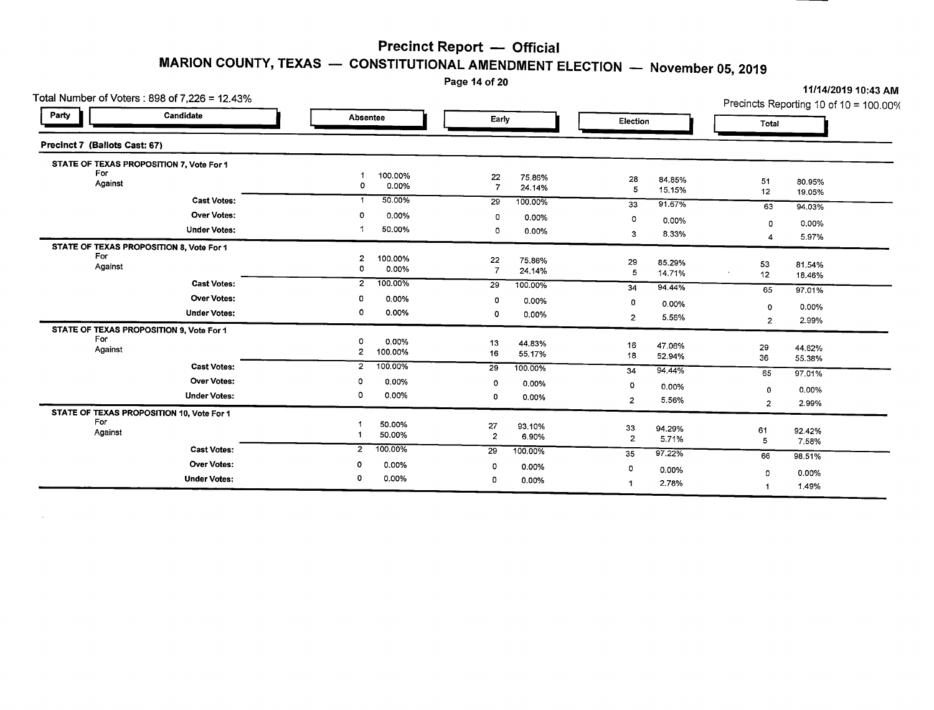**MARION COUNTY, TEXAS** - **CONSTITUTIONAL AMENDMENT ELECTION** - **November 05,2019**

Page 14 of 20

|                               | Total Number of Voters: 898 of 7,226 = 12.43% |                   |         |                 |                  |                      |                 |                | Precincts Reporting 10 of 10 = 100.00% |
|-------------------------------|-----------------------------------------------|-------------------|---------|-----------------|------------------|----------------------|-----------------|----------------|----------------------------------------|
| Party                         | Candidate                                     | Absentee          |         | Early           |                  | Election             |                 | Total          |                                        |
| Precinct 7 (Ballots Cast: 67) |                                               |                   |         |                 |                  |                      |                 |                |                                        |
|                               | STATE OF TEXAS PROPOSITION 7, Vote For 1      |                   |         |                 |                  |                      |                 |                |                                        |
| For                           |                                               |                   | 100.00% | 22              | 75.86%           | 28                   | 84.85%          |                |                                        |
| Against                       |                                               | 0                 | 0.00%   | $\overline{7}$  | 24.14%           | 5                    | 15.15%          | 51<br>12       | 80.95%<br>19.05%                       |
|                               | <b>Cast Votes:</b>                            | -1                | 50.00%  | 29              | 100.00%          | 33                   | 91.67%          | 63             | 94.03%                                 |
|                               | <b>Over Votes:</b>                            | 0                 | 0.00%   | 0               | 0.00%            | 0                    |                 |                |                                        |
|                               | <b>Under Votes:</b>                           |                   | 50.00%  | 0               | 0.00%            |                      | 0.00%           | $\Omega$       | 0.00%                                  |
|                               |                                               |                   |         |                 |                  | 3                    | 8.33%           | 4              | 5.97%                                  |
| For                           | STATE OF TEXAS PROPOSITION 8, Vote For 1      |                   |         |                 |                  |                      |                 |                |                                        |
| Against                       |                                               | $\mathbf{z}$<br>0 | 100.00% | 22              | 75.86%           | 29                   | 85.29%          | 53             | 81.54%                                 |
|                               |                                               |                   | 0.00%   | $\overline{7}$  | 24.14%           | 5                    | 14.71%          | 12             | 18.46%                                 |
|                               | <b>Cast Votes:</b>                            | $\overline{2}$    | 100.00% | $\overline{29}$ | 100.00%          | 34                   | 94.44%          | 65             | 97.01%                                 |
|                               | <b>Over Votes:</b>                            | 0                 | 0.00%   | 0               | 0.00%            | 0                    | 0.00%           |                |                                        |
|                               | <b>Under Votes:</b>                           | 0                 | 0.00%   | 0               | 0.00%            | $\overline{2}$       | 5.56%           | 0              | 0.00%                                  |
|                               | STATE OF TEXAS PROPOSITION 9, Vote For 1      |                   |         |                 |                  |                      |                 | $\overline{2}$ | 2.99%                                  |
| For                           |                                               | Ω                 | 0.00%   |                 |                  |                      |                 |                |                                        |
| Against                       |                                               | 2                 | 100.00% | 13<br>16        | 44.83%<br>55.17% | 16                   | 47.06%          | 29             | 44.62%                                 |
|                               | <b>Cast Votes:</b>                            | $\overline{2}$    |         |                 |                  | 18                   | 52.94%          | 36             | 55.38%                                 |
|                               |                                               |                   | 100,00% | 29              | 100.00%          | 34                   | 94.44%          | 65             | 97.01%                                 |
|                               | <b>Over Votes:</b>                            | 0                 | 0.00%   | 0               | 0.00%            | 0                    | 0.00%           | $\mathbf 0$    | 0.00%                                  |
|                               | <b>Under Votes:</b>                           | 0                 | 0.00%   | 0               | 0.00%            | $\overline{2}$       | 5.56%           |                | 2.99%                                  |
|                               | STATE OF TEXAS PROPOSITION 10, Vote For 1     |                   |         |                 |                  |                      |                 | $\overline{2}$ |                                        |
| For                           |                                               |                   | 50.00%  | 27              | 93.10%           |                      |                 |                |                                        |
| Against                       |                                               |                   | 50.00%  | $\overline{2}$  | 6.90%            | 33<br>$\overline{2}$ | 94.29%<br>5.71% | 61             | 92.42%                                 |
|                               | <b>Cast Votes:</b>                            | 2                 | 100.00% | 29              | 100.00%          |                      |                 | 5              | 7.58%                                  |
|                               | <b>Over Votes:</b>                            | 0                 |         |                 |                  | 35                   | 97.22%          | 66             | 98.51%                                 |
|                               |                                               |                   | 0.00%   | 0               | 0.00%            | 0                    | 0.00%           | 0              | 0.00%                                  |
|                               | <b>Under Votes:</b>                           | 0                 | 0.00%   | O               | 0.00%            |                      | 2.78%           |                | 1.49%                                  |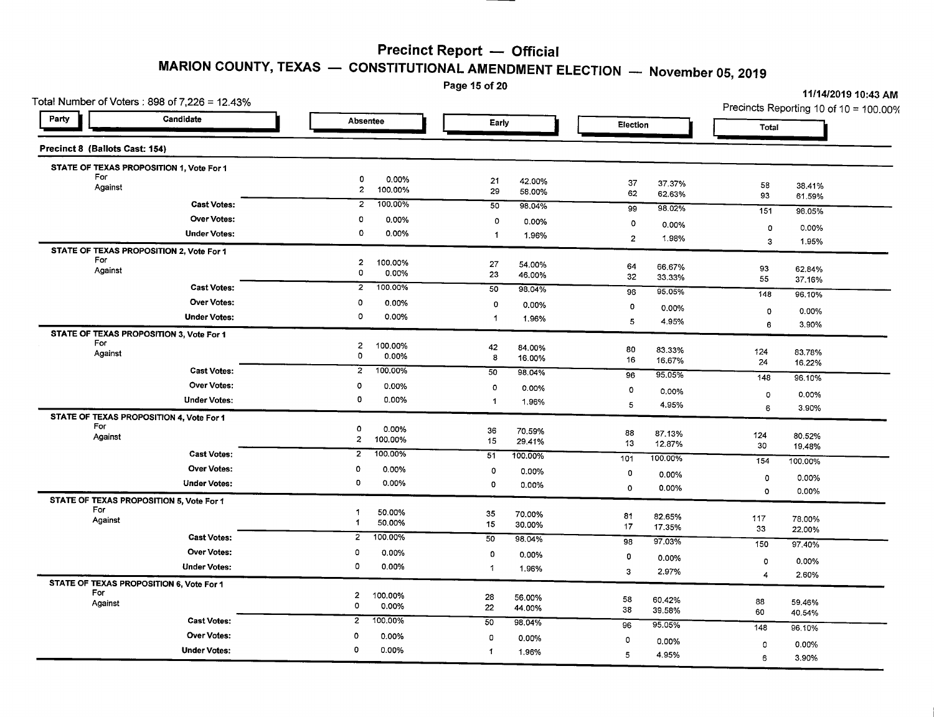Page 15 of 20

| Total Number of Voters: 898 of $7,226 = 12.43\%$ |                                         |                              |                              | Precincts Reporting 10 of 10 = 100.00% |
|--------------------------------------------------|-----------------------------------------|------------------------------|------------------------------|----------------------------------------|
| Party<br>Candidate                               | Absentee                                | Early                        | Election                     | Total                                  |
| Precinct 8 (Ballots Cast: 154)                   |                                         |                              |                              |                                        |
| STATE OF TEXAS PROPOSITION 1, Vote For 1         |                                         |                              |                              |                                        |
| For<br>Against                                   | 0<br>0.00%<br>$\overline{a}$<br>100.00% | 21<br>42.00%<br>29<br>58.00% | 37<br>37.37%<br>62<br>62.63% | 58<br>38.41%<br>93<br>61.59%           |
| <b>Cast Votes:</b>                               | $\overline{2}$                          | 50                           | 98.02%                       | 151                                    |
|                                                  | 100.00%                                 | 98.04%                       | 99                           | 98.05%                                 |
| <b>Over Votes:</b>                               | $\circ$                                 | 0                            | $\circ$                      | 0.00%                                  |
|                                                  | 0.00%                                   | 0.00%                        | 0.00%                        | 0                                      |
| <b>Under Votes:</b>                              | $\circ$                                 | $\blacktriangleleft$         | $\overline{2}$               | $\overline{3}$                         |
|                                                  | 0.00%                                   | 1.96%                        | 1.98%                        | 1.95%                                  |
| STATE OF TEXAS PROPOSITION 2, Vote For 1         |                                         |                              |                              |                                        |
| For                                              | $\overline{2}$                          | 27                           | 64                           | 93                                     |
| Against                                          | 100.00%                                 | 54.00%                       | 66.67%                       | 62.84%                                 |
|                                                  | $\mathbf 0$                             | 23                           | 32                           | 55                                     |
|                                                  | 0.00%                                   | 46.00%                       | 33.33%                       | 37.16%                                 |
| <b>Cast Votes:</b>                               | $\overline{2}$                          | 50                           | 95.05%                       | 148                                    |
|                                                  | 100.00%                                 | 98.04%                       | 96                           | 96.10%                                 |
| <b>Over Votes:</b>                               | 0                                       | 0                            | $\mathbf 0$                  | 0.00%                                  |
|                                                  | 0.00%                                   | 0.00%                        | 0.00%                        | 0                                      |
| <b>Under Votes:</b>                              | 0                                       | 1.96%                        | 5                            | 6                                      |
|                                                  | 0.00%                                   | -1                           | 4.95%                        | 3.90%                                  |
| STATE OF TEXAS PROPOSITION 3, Vote For 1         |                                         |                              |                              |                                        |
| For                                              | $\mathbf{z}$                            | 42                           | 80                           | 124                                    |
| Against                                          | 100.00%                                 | 84.00%                       | 83.33%                       | 83.78%                                 |
|                                                  | 0                                       | 8                            | 16                           | 24                                     |
|                                                  | 0.00%                                   | 16.00%                       | 16.67%                       | 16.22%                                 |
| <b>Cast Votes:</b>                               | $\overline{a}$                          | 50                           | 96                           | 148                                    |
|                                                  | 100.00%                                 | 98.04%                       | 95.05%                       | 96.10%                                 |
| Over Votes:                                      | $\circ$                                 | $\circ$                      | o                            | 0.00%                                  |
|                                                  | 0.00%                                   | 0.00%                        | 0.00%                        | 0                                      |
| <b>Under Votes:</b>                              | 0                                       | $\mathbf{1}$                 | 5                            | 6                                      |
|                                                  | 0.00%                                   | 1.96%                        | 4.95%                        | 3.90%                                  |
| STATE OF TEXAS PROPOSITION 4, Vote For 1         |                                         |                              |                              |                                        |
| For                                              | $\mathbf 0$                             | 36                           | 88                           | 124                                    |
| Against                                          | 0.00%                                   | 70.59%                       | 87.13%                       | 80.52%                                 |
|                                                  | $\overline{2}$                          | 15                           | 13                           | 30                                     |
|                                                  | 100.00%                                 | 29.41%                       | 12.87%                       | 19.48%                                 |
| <b>Cast Votes:</b>                               | 100.00%                                 | 51                           | 100.00%                      | 154                                    |
|                                                  | $\overline{2}$                          | 100.00%                      | 101                          | 100.00%                                |
| Over Votes:                                      | 0                                       | $\mathbf 0$                  | 0                            | 0.00%                                  |
|                                                  | 0.00%                                   | 0.00%                        | 0.00%                        | 0                                      |
| <b>Under Votes:</b>                              | 0                                       | 0                            | $\mathbf 0$                  | 0.00%                                  |
|                                                  | 0.00%                                   | 0.00%                        | 0.00%                        | $\circ$                                |
| STATE OF TEXAS PROPOSITION 5, Vote For 1         |                                         |                              |                              |                                        |
| For                                              | 1                                       | 35                           | 81                           | 117                                    |
| Against                                          | 50.00%                                  | 70.00%                       | 82.65%                       | 78.00%                                 |
|                                                  | 50.00%                                  | 15                           | 17                           | 33                                     |
|                                                  | $\mathbf{1}$                            | 30.00%                       | 17.35%                       | 22.00%                                 |
| <b>Cast Votes:</b>                               | $\overline{2}$                          | 50                           | 97.03%                       | 150                                    |
|                                                  | 100.00%                                 | 98.04%                       | 98                           | 97.40%                                 |
| Over Votes:                                      | 0                                       | $\circ$                      | 0                            | $\circ$                                |
|                                                  | 0.00%                                   | 0.00%                        | 0.00%                        | 0.00%                                  |
| <b>Under Votes:</b>                              | $\circ$                                 | 1                            | 3                            | 2.60%                                  |
|                                                  | 0.00%                                   | 1.96%                        | 2.97%                        | $\overline{4}$                         |
| STATE OF TEXAS PROPOSITION 6, Vote For 1         |                                         |                              |                              |                                        |
| For                                              | $\mathbf{2}$                            | 28                           | 58                           | 88                                     |
| Against                                          | 100.00%                                 | 56.00%                       | 60.42%                       | 59.46%                                 |
|                                                  | 0                                       | 22                           | 38                           | 60                                     |
|                                                  | 0.00%                                   | 44.00%                       | 39.58%                       | 40.54%                                 |
| <b>Cast Votes:</b>                               | $2^{-}$                                 | 50                           | 95.05%                       | 148                                    |
|                                                  | 100.00%                                 | 98.04%                       | 96                           | 96.10%                                 |
| <b>Over Votes:</b>                               | $\mathbf 0$                             | 0                            | 0                            | 0                                      |
|                                                  | 0.00%                                   | 0.00%                        | 0.00%                        | 0.00%                                  |
| <b>Under Votes:</b>                              | 0                                       | $\blacktriangleleft$         | 5                            | 6                                      |
|                                                  | 0.00%                                   | 1.96%                        | 4.95%                        | 3.90%                                  |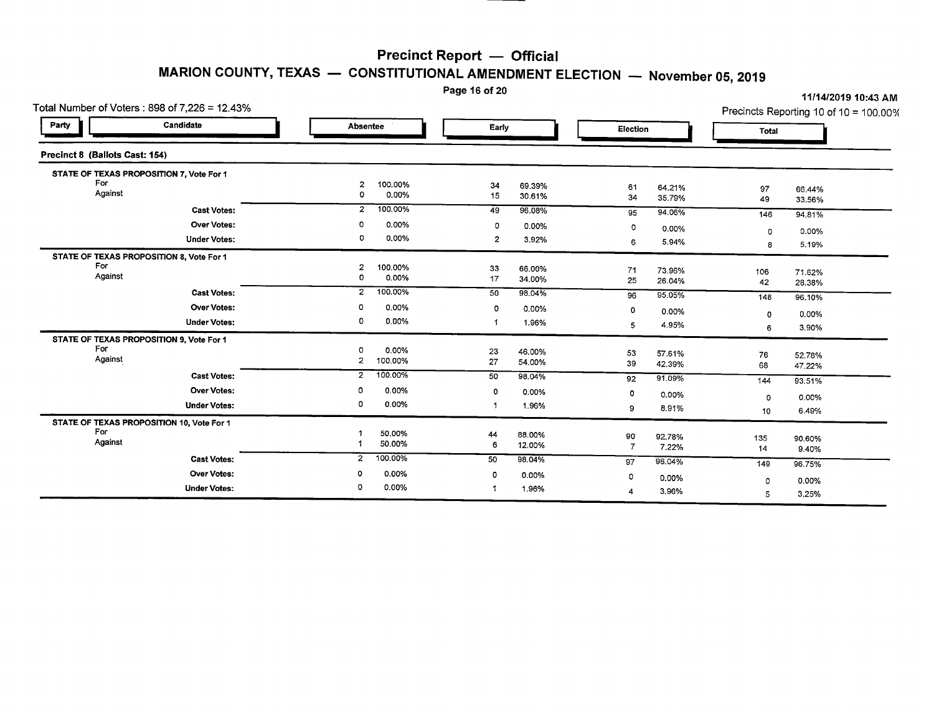#### Page 16 of 20

| Total Number of Voters: 898 of 7,226 = 12.43% |                                                     |                                                                                                           |                  |                                                         |                                                                             | Precincts Reporting 10 of 10 = 100.00%          |
|-----------------------------------------------|-----------------------------------------------------|-----------------------------------------------------------------------------------------------------------|------------------|---------------------------------------------------------|-----------------------------------------------------------------------------|-------------------------------------------------|
| Candidate                                     | Absentee                                            | Early                                                                                                     |                  | Election                                                | Total                                                                       |                                                 |
| Precinct 8 (Ballots Cast: 154)                |                                                     |                                                                                                           |                  |                                                         |                                                                             |                                                 |
| STATE OF TEXAS PROPOSITION 7, Vote For 1      |                                                     |                                                                                                           |                  |                                                         |                                                                             |                                                 |
| Against                                       | 100.00%<br>$\overline{c}$<br>0<br>0.00%             | 34<br>15                                                                                                  | 69.39%<br>30.61% | 61<br>64.21%<br>34<br>35.79%                            | 97<br>49                                                                    | 66.44%<br>33.56%                                |
| <b>Cast Votes:</b>                            | 100.00%<br>$\overline{2}$                           | 49                                                                                                        | 96.08%           | 94.06%<br>95                                            | 146                                                                         | 94.81%                                          |
| <b>Over Votes:</b>                            | 0.00%<br>0                                          | 0                                                                                                         | 0.00%            | $\circ$<br>0.00%                                        |                                                                             | 0.00%                                           |
| <b>Under Votes:</b>                           | 0<br>0.00%                                          | $\overline{2}$                                                                                            | 3.92%            | 5,94%<br>6                                              | 8                                                                           | 5.19%                                           |
| STATE OF TEXAS PROPOSITION 8, Vote For 1      |                                                     |                                                                                                           |                  |                                                         |                                                                             |                                                 |
| Against                                       |                                                     | 33                                                                                                        | 66.00%           | 71<br>73.96%                                            | 106                                                                         | 71.62%                                          |
|                                               |                                                     |                                                                                                           |                  |                                                         | 42                                                                          | 28.38%                                          |
|                                               |                                                     |                                                                                                           |                  | 96                                                      | 148                                                                         | 96.10%                                          |
|                                               |                                                     | $\circ$                                                                                                   | 0.00%            | 0<br>0.00%                                              |                                                                             | 0.00%                                           |
| <b>Under Votes:</b>                           | 0                                                   |                                                                                                           | 1.96%            | 5<br>4.95%                                              | 6                                                                           | 3.90%                                           |
| STATE OF TEXAS PROPOSITION 9, Vote For 1      |                                                     |                                                                                                           |                  |                                                         |                                                                             |                                                 |
|                                               | 0.00%<br>0                                          | 23                                                                                                        | 46.00%           | 53<br>57.61%                                            |                                                                             | 52.78%                                          |
|                                               |                                                     |                                                                                                           |                  | 39<br>42.39%                                            | 68                                                                          | 47.22%                                          |
| <b>Cast Votes:</b>                            | $\overline{2}$                                      | 50                                                                                                        | 98.04%           | 91.09%<br>92                                            | 144                                                                         | 93.51%                                          |
| <b>Over Votes:</b>                            | 0.00%<br>ο                                          | 0                                                                                                         | 0.00%            | $\circ$                                                 |                                                                             | 0.00%                                           |
| <b>Under Votes:</b>                           | 0.00%<br>0                                          |                                                                                                           | 1.96%            | 8.91%<br>9                                              |                                                                             | 6.49%                                           |
| STATE OF TEXAS PROPOSITION 10, Vote For 1     |                                                     |                                                                                                           |                  |                                                         |                                                                             |                                                 |
|                                               | 50.00%                                              | 44                                                                                                        |                  |                                                         |                                                                             | 90.60%                                          |
| Against                                       | 50.00%                                              | 6                                                                                                         |                  | $\overline{7}$<br>7.22%                                 | 14                                                                          | 9.40%                                           |
| <b>Cast Votes:</b>                            | 100.00%<br>$\overline{2}$                           | 50                                                                                                        | 98.04%           | 96.04%<br>97                                            |                                                                             | 96.75%                                          |
| <b>Over Votes:</b>                            | 0.00%<br>0                                          | 0                                                                                                         | 0.00%            |                                                         |                                                                             |                                                 |
| <b>Under Votes:</b>                           | 0.00%<br>$\circ$                                    |                                                                                                           |                  |                                                         |                                                                             | 0.00%<br>3.25%                                  |
|                                               | <b>Cast Votes:</b><br><b>Over Votes:</b><br>Against | 100.00%<br>2<br>0.00%<br>o<br>100.00%<br>$\overline{2}$<br>0<br>0.00%<br>0.00%<br>2<br>100.00%<br>100.00% | 17<br>50<br>27   | 34.00%<br>98.04%<br>54.00%<br>88.00%<br>12.00%<br>1.96% | 25<br>26.04%<br>95.05%<br>0.00%<br>90<br>92.78%<br>0<br>0.00%<br>3.96%<br>4 | 0<br>0<br>76<br>0<br>10<br>135<br>149<br>0<br>5 |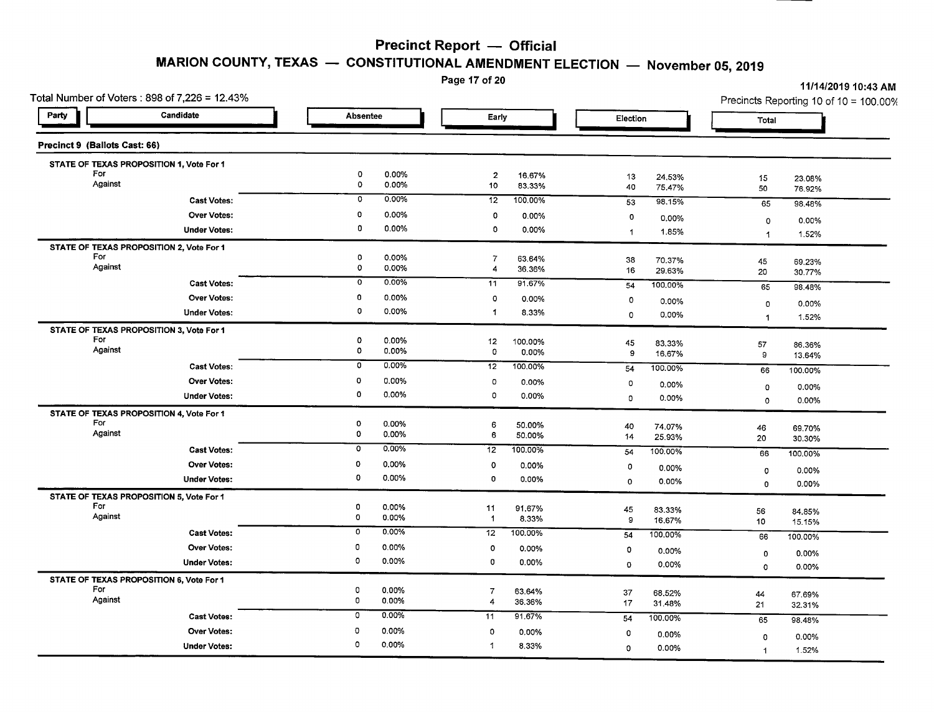**MARION COUNTY, TEXAS - CONSTITUTIONAL AMENDMENT ELECTION - November** 05, **2019**

Page 17 of 20

| Total Number of Voters: 898 of 7,226 = 12.43%   |                                    |                                                      |                              | Precincts Reporting 10 of 10 = 100.00% |  |
|-------------------------------------------------|------------------------------------|------------------------------------------------------|------------------------------|----------------------------------------|--|
| Candidate<br>Party                              | Absentee                           | Early                                                | Election                     | Total                                  |  |
| Precinct 9 (Ballots Cast: 66)                   |                                    |                                                      |                              |                                        |  |
| STATE OF TEXAS PROPOSITION 1, Vote For 1        |                                    |                                                      |                              |                                        |  |
| For<br>Against                                  | 0<br>0.00%<br>0<br>0.00%           | $\overline{a}$<br>16.67%<br>10<br>83.33%             | 13<br>24.53%<br>40<br>75.47% | 15<br>23.08%<br>50<br>76.92%           |  |
| <b>Cast Votes:</b>                              | 0<br>0.00%                         | 12<br>100.00%                                        | 98.15%<br>53                 | 65<br>98.48%                           |  |
| Over Votes:                                     | 0<br>0.00%                         | 0<br>0.00%                                           | 0<br>0.00%                   | 0.00%<br>0                             |  |
| <b>Under Votes:</b>                             | 0<br>0.00%                         | $\mathbf 0$<br>0.00%                                 | $\mathbf{1}$<br>1.85%        | 1.52%<br>$\ddot{\phantom{1}}$          |  |
| STATE OF TEXAS PROPOSITION 2, Vote For 1        |                                    |                                                      |                              |                                        |  |
| For<br>Against                                  | 0<br>0.00%<br>$\circ$<br>0.00%     | 7<br>63.64%                                          | 38<br>70.37%                 | 45<br>69.23%                           |  |
|                                                 | 0.00%<br>0                         | 4<br>36.36%                                          | 16<br>29.63%                 | 20<br>30.77%                           |  |
| <b>Cast Votes:</b>                              |                                    | 11<br>91.67%                                         | 100.00%<br>54                | 65<br>98.48%                           |  |
| <b>Over Votes:</b>                              | 0<br>0.00%<br>0<br>0.00%           | $\circ$<br>0.00%                                     | $\circ$<br>0.00%             | $\mathbf 0$<br>0.00%                   |  |
| <b>Under Votes:</b>                             |                                    | 8.33%<br>-1                                          | $\mathbf 0$<br>0.00%         | 1.52%<br>$\overline{1}$                |  |
| STATE OF TEXAS PROPOSITION 3, Vote For 1<br>For | 0<br>0.00%                         |                                                      |                              |                                        |  |
| Against                                         | 0<br>0.00%                         | 12<br>100.00%<br>$\mathbf 0$<br>0.00%                | 45<br>83.33%<br>9<br>16.67%  | 57<br>86.36%<br>9<br>13.64%            |  |
| <b>Cast Votes:</b>                              | $0.00\%$<br>0                      | $\overline{12}$<br>100.00%                           | 100.00%<br>54                |                                        |  |
| <b>Over Votes:</b>                              | o<br>0.00%                         | $\circ$<br>0.00%                                     | o                            | 66<br>100.00%                          |  |
| <b>Under Votes:</b>                             | 0<br>0.00%                         | $\mathbf 0$<br>0.00%                                 | 0.00%<br>$\circ$<br>0.00%    | 0.00%<br>$\mathbf 0$                   |  |
| STATE OF TEXAS PROPOSITION 4, Vote For 1        |                                    |                                                      |                              | 0.00%<br>0                             |  |
| For                                             | 0<br>0.00%                         | 6<br>50.00%                                          | 40<br>74.07%                 | 46<br>69.70%                           |  |
| Against                                         | $\mathbf 0$<br>0.00%               | 6<br>50.00%                                          | 14<br>25.93%                 | 20<br>30.30%                           |  |
| <b>Cast Votes:</b>                              | $\overline{\mathfrak{o}}$<br>0.00% | 12<br>100.00%                                        | 100.00%<br>54                | 66<br>100.00%                          |  |
| <b>Over Votes:</b>                              | $\mathbf 0$<br>0.00%               | $\mathbf 0$<br>0.00%                                 | 0<br>0.00%                   | 0.00%<br>$\circ$                       |  |
| <b>Under Votes:</b>                             | $\circ$<br>0.00%                   | 0<br>0.00%                                           | $\mathbf 0$<br>0.00%         | 0.00%<br>$\circ$                       |  |
| STATE OF TEXAS PROPOSITION 5, Vote For 1        |                                    |                                                      |                              |                                        |  |
| For<br>Against                                  | 0<br>0.00%                         | 11<br>91.67%                                         | 45<br>83.33%                 | 56<br>84.85%                           |  |
|                                                 | $\mathbf 0$<br>0.00%               | $\overline{1}$<br>8.33%                              | $\mathbf 9$<br>16.67%        | 10<br>15.15%                           |  |
| <b>Cast Votes:</b>                              | $\mathbf 0$<br>0.00%               | 12<br>100.00%                                        | 54<br>100.00%                | 66<br>100.00%                          |  |
| Over Votes:                                     | 0<br>$0.00\%$                      | $\mathbf 0$<br>0.00%                                 | 0<br>0.00%                   | 0.00%<br>$\circ$                       |  |
| <b>Under Votes:</b>                             | 0<br>0.00%                         | $\circ$<br>0.00%                                     | $\circ$<br>0.00%             | 0.00%<br>$\Omega$                      |  |
| STATE OF TEXAS PROPOSITION 6, Vote For 1        |                                    |                                                      |                              |                                        |  |
| For<br>Against                                  | $\mathbf 0$<br>0.00%<br>0<br>0.00% | $\overline{7}$<br>63.64%<br>$\overline{4}$<br>36.36% | 37<br>68.52%                 | 44<br>67.69%                           |  |
| <b>Cast Votes:</b>                              | $\circ$<br>$0.00\%$                | 91.67%<br>11                                         | 17<br>31.48%                 | 21<br>32.31%                           |  |
|                                                 | o                                  |                                                      | 100.00%<br>54                | 65<br>98.48%                           |  |
| Over Votes:                                     | 0.00%<br>$\Omega$<br>0.00%         | 0<br>0.00%                                           | 0<br>0.00%                   | 0.00%<br>$\circ$                       |  |
| <b>Under Votes:</b>                             |                                    | $\mathbf{1}$<br>8.33%                                | 0.00%<br>$\mathbf 0$         | 1.52%<br>$\blacktriangleleft$          |  |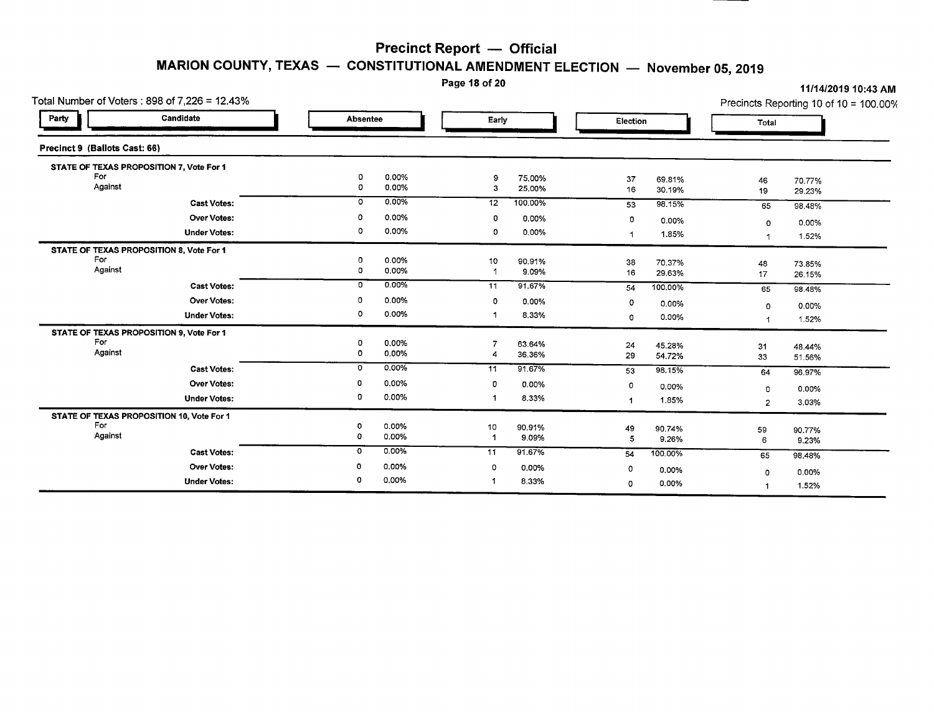# **MARION COUNTY, TEXAS** - **CONSTITUTIONAL AMENDMENT** ELECTION - **November 05, 2019**<br>Page 18 of 20

|                               | Total Number of Voters : 898 of 7,226 = 12.43% |          |                |         |                 |          |         |                | Precincts Reporting 10 of 10 = 100.00% |
|-------------------------------|------------------------------------------------|----------|----------------|---------|-----------------|----------|---------|----------------|----------------------------------------|
| Party                         | Candidate                                      | Absentee |                | Early   |                 | Election |         | Total          |                                        |
| Precinct 9 (Ballots Cast: 66) |                                                |          |                |         |                 |          |         |                |                                        |
|                               | STATE OF TEXAS PROPOSITION 7, Vote For 1       |          |                |         |                 |          |         |                |                                        |
| For                           |                                                | 0        | 0.00%          | 9       | 75.00%          | 37       | 69.81%  | 46             | 70.77%                                 |
| Against                       |                                                | 0        | 0.00%          | з       | 25.00%          | 16       | 30.19%  | 19             | 29.23%                                 |
|                               | <b>Cast Votes:</b>                             | $\circ$  | 0.00%          | 12      | 100.00%         | 53       | 98.15%  | 65             | 98.48%                                 |
|                               | <b>Over Votes:</b>                             | $\circ$  | 0.00%          | 0       | 0.00%           | 0        | 0.00%   | 0              | 0.00%                                  |
|                               | <b>Under Votes:</b>                            | 0        | 0.00%          | 0       | 0.00%           |          | 1.85%   |                |                                        |
|                               |                                                |          |                |         |                 |          |         | -1             | 1.52%                                  |
| For                           | STATE OF TEXAS PROPOSITION 8, Vote For 1       | 0        | 0.00%          |         |                 |          |         |                |                                        |
| Against                       |                                                | 0        | 0.00%          | 10<br>1 | 90.91%<br>9.09% | 38       | 70.37%  | 48             | 73.85%                                 |
|                               |                                                | 0        | 0.00%          |         |                 | 16       | 29.63%  | 17             | 26.15%                                 |
|                               | <b>Cast Votes:</b>                             |          |                | 11      | 91.67%          | 54       | 100.00% | 65             | 98.48%                                 |
|                               | Over Votes:                                    | 0        | 0.00%          | 0       | 0.00%           | $\circ$  | 0.00%   | $\Omega$       | 0.00%                                  |
|                               | <b>Under Votes:</b>                            | 0        | 0.00%          |         | 8.33%           | 0        | 0.00%   | -1             | 1.52%                                  |
|                               | STATE OF TEXAS PROPOSITION 9, Vote For 1       |          |                |         |                 |          |         |                |                                        |
| For                           |                                                | 0        | 0.00%          |         | 63.64%          | 24       | 45.28%  | 31             | 48.44%                                 |
| Against                       |                                                | 0        | 0.00%          |         | 36.36%          | 29       | 54.72%  | 33             | 51.56%                                 |
|                               | <b>Cast Votes:</b>                             | 0        | 0.00%          | 11      | 91.67%          | 53       | 98.15%  | 64             | 96,97%                                 |
|                               | Over Votes:                                    | 0        | 0.00%          | 0       | 0.00%           | 0        | 0.00%   |                |                                        |
|                               | <b>Under Votes:</b>                            | 0        | 0.00%          |         | 8.33%           |          | 1.85%   | $\circ$        | 0.00%                                  |
|                               |                                                |          |                |         |                 |          |         | $\overline{2}$ | 3.03%                                  |
| For                           | STATE OF TEXAS PROPOSITION 10, Vote For 1      |          |                |         |                 |          |         |                |                                        |
| Against                       |                                                | 0<br>0   | 0.00%<br>0.00% | 10      | 90.91%          | 49       | 90.74%  | 59             | 90.77%                                 |
|                               |                                                |          |                |         | 9.09%           | 5        | 9.26%   | 6              | 9.23%                                  |
|                               | <b>Cast Votes:</b>                             | 0        | 0.00%          | 11      | 91.67%          | 54       | 100.00% | 65             | 98.48%                                 |
|                               | <b>Over Votes:</b>                             | 0        | 0.00%          | 0       | 0.00%           | 0        | 0.00%   | 0              | 0.00%                                  |
|                               | <b>Under Votes:</b>                            | 0        | 0.00%          |         | 8.33%           | 0        | 0.00%   |                | 1.52%                                  |

**Page <sup>18</sup> of <sup>20</sup>** *11/14/201910:43* **AM**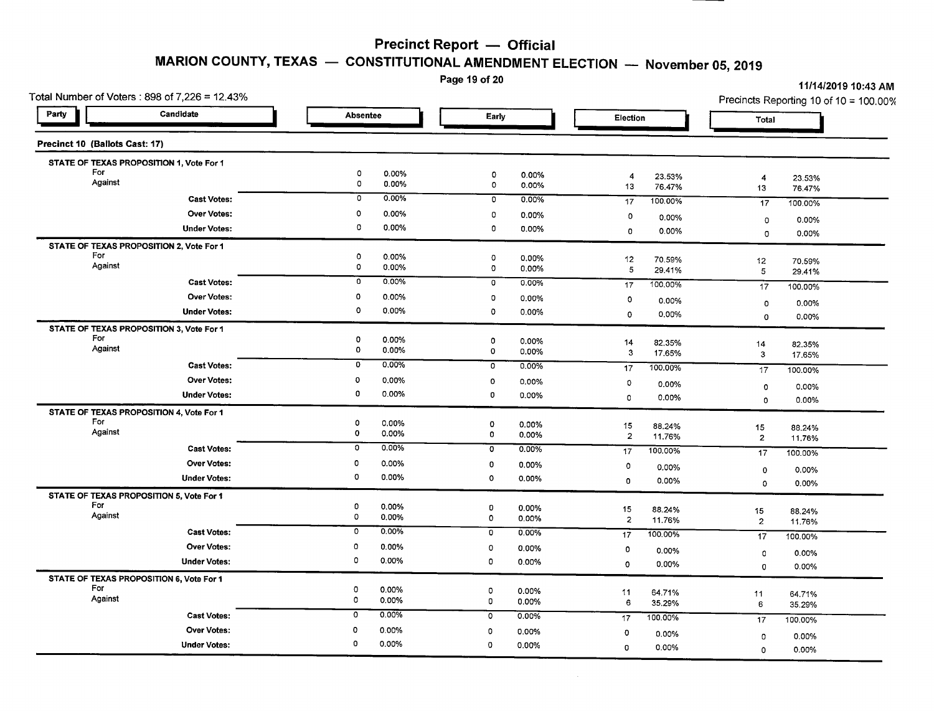## **MARION COUNTY, TEXAS - CONSTITUTIONAL AMENDMENT ELECTION - November 05,2019**

Page 19 of 20

*11/14/201910:43* AM

|                                | Total Number of Voters: 898 of 7,226 = 12.43% |                                          |                                              |                                       | <b>THRAZULS 10:40 AM</b><br>Precincts Reporting 10 of 10 = 100.00% |
|--------------------------------|-----------------------------------------------|------------------------------------------|----------------------------------------------|---------------------------------------|--------------------------------------------------------------------|
| Party                          | Candidate                                     | <b>Absentee</b>                          | Early                                        | Election                              | Total                                                              |
| Precinct 10 (Ballots Cast: 17) |                                               |                                          |                                              |                                       |                                                                    |
|                                | STATE OF TEXAS PROPOSITION 1, Vote For 1      |                                          |                                              |                                       |                                                                    |
| For<br>Against                 |                                               | 0<br>0.00%<br>$\circ$<br>0.00%           | $\mathbf 0$<br>0.00%<br>$\mathbf 0$<br>0.00% | 23.53%<br>4<br>13<br>76.47%           | $\overline{4}$<br>23.53%<br>13<br>76.47%                           |
|                                | <b>Cast Votes:</b>                            | 0.00%<br>0                               | $\mathbf 0$<br>0.00%                         | 17<br>100,00%                         | 17<br>100.00%                                                      |
|                                | <b>Over Votes:</b>                            | 0<br>0.00%                               | $\circ$<br>0.00%                             | $\circ$<br>0.00%                      | 0.00%<br>$\mathbf 0$                                               |
|                                | <b>Under Votes:</b>                           | 0<br>0.00%                               | 0<br>0.00%                                   | 0.00%<br>$\circ$                      | 0.00%<br>$\mathbf 0$                                               |
|                                | STATE OF TEXAS PROPOSITION 2, Vote For 1      |                                          |                                              |                                       |                                                                    |
| For<br>Against                 |                                               | $\mathbf 0$<br>0.00%<br>$\circ$<br>0.00% | $\circ$<br>$0.00\%$                          | 12<br>70.59%                          | 12<br>70.59%                                                       |
|                                |                                               | $\overline{0}$<br>0.00%                  | $\mathbf 0$<br>0.00%                         | 5<br>29.41%                           | 5<br>29.41%                                                        |
|                                | <b>Cast Votes:</b>                            |                                          | 0<br>0.00%                                   | 17<br>100.00%                         | 17<br>100.00%                                                      |
|                                | <b>Over Votes:</b>                            | 0<br>0.00%                               | $\circ$<br>0.00%                             | $\circ$<br>0.00%                      | 0.00%<br>0                                                         |
|                                | <b>Under Votes:</b>                           | 0<br>0.00%                               | $\circ$<br>0.00%                             | $\circ$<br>0.00%                      | 0.00%<br>$\circ$                                                   |
| For                            | STATE OF TEXAS PROPOSITION 3, Vote For 1      |                                          |                                              |                                       |                                                                    |
| Against                        |                                               | 0<br>0.00%<br>O<br>0.00%                 | 0<br>0.00%<br>$\circ$<br>0.00%               | 14<br>82.35%<br>$\mathbf{3}$          | 14<br>82.35%                                                       |
|                                | <b>Cast Votes:</b>                            | 0.00%<br>$\mathbf{0}$                    | 0<br>0.00%                                   | 17.65%<br>17<br>100.00%               | 3<br>17.65%                                                        |
|                                | <b>Over Votes:</b>                            | $\circ$<br>0.00%                         | $\circ$<br>0.00%                             |                                       | 17<br>100.00%                                                      |
|                                | <b>Under Votes:</b>                           | $\mathbf 0$<br>0.00%                     | $\mathbf{0}$<br>0.00%                        | $\circ$<br>0.00%<br>$\Omega$<br>0.00% | 0.00%<br>$\circ$                                                   |
|                                | STATE OF TEXAS PROPOSITION 4, Vote For 1      |                                          |                                              |                                       | 0.00%<br>0                                                         |
| For                            |                                               | $\circ$<br>0.00%                         | o<br>0.00%                                   | 15<br>88.24%                          | 15<br>88,24%                                                       |
| Against                        |                                               | $\mathbf 0$<br>0.00%                     | 0.00%<br>0                                   | $\overline{2}$<br>11.76%              | $\overline{2}$<br>11.76%                                           |
|                                | <b>Cast Votes:</b>                            | $\overline{0}$<br>0.00%                  | 0.00%<br>0                                   | 100.00%<br>17                         | 17<br>100.00%                                                      |
|                                | <b>Over Votes:</b>                            | 0<br>0.00%                               | $\circ$<br>0.00%                             | 0<br>0.00%                            | 0.00%<br>$\mathbf 0$                                               |
|                                | <b>Under Votes:</b>                           | $\mathbf 0$<br>0.00%                     | $\circ$<br>0.00%                             | 0<br>0.00%                            | 0.00%<br>$\circ$                                                   |
|                                | STATE OF TEXAS PROPOSITION 5, Vote For 1      |                                          |                                              |                                       |                                                                    |
| For<br>Against                 |                                               | 0<br>0.00%                               | O<br>0.00%                                   | 15<br>88.24%                          | 15<br>88.24%                                                       |
|                                |                                               | $\circ$<br>0.00%                         | $\circ$<br>0.00%                             | $\overline{c}$<br>11.76%              | $\overline{2}$<br>11.76%                                           |
|                                | <b>Cast Votes:</b>                            | 0.00%<br>O                               | $\overline{0}$<br>0.00%                      | 100.00%<br>17                         | 17<br>100.00%                                                      |
|                                | <b>Over Votes:</b>                            | 0<br>0.00%                               | $\mathbf 0$<br>0.00%                         | 0<br>0.00%                            | $\circ$<br>0.00%                                                   |
|                                | <b>Under Votes:</b>                           | 0<br>0.00%                               | $\circ$<br>0.00%                             | $\circ$<br>0.00%                      | 0.00%<br>$\circ$                                                   |
|                                | STATE OF TEXAS PROPOSITION 6, Vote For 1      |                                          |                                              |                                       |                                                                    |
| For<br>Against                 |                                               | 0<br>0.00%<br>0<br>0.00%                 | $\circ$<br>0.00%<br>$\mathbf 0$<br>0.00%     | 11<br>64.71%                          | 11<br>64.71%                                                       |
|                                | <b>Cast Votes:</b>                            | 0.00%<br>0                               | $0.00\%$<br>0                                | 6<br>35.29%                           | 6<br>35.29%                                                        |
|                                | Over Votes:                                   | 0<br>0.00%                               | $\Omega$                                     | 100.00%<br>17                         | 17<br>100.00%                                                      |
|                                |                                               | 0<br>0.00%                               | 0.00%                                        | $\circ$<br>0.00%                      | 0.00%<br>$\circ$                                                   |
|                                | <b>Under Votes:</b>                           |                                          | $\mathbf 0$<br>0.00%                         | 0.00%<br>0                            | 0.00%<br>$\mathbf 0$                                               |

 $\sim 10^{-1}$